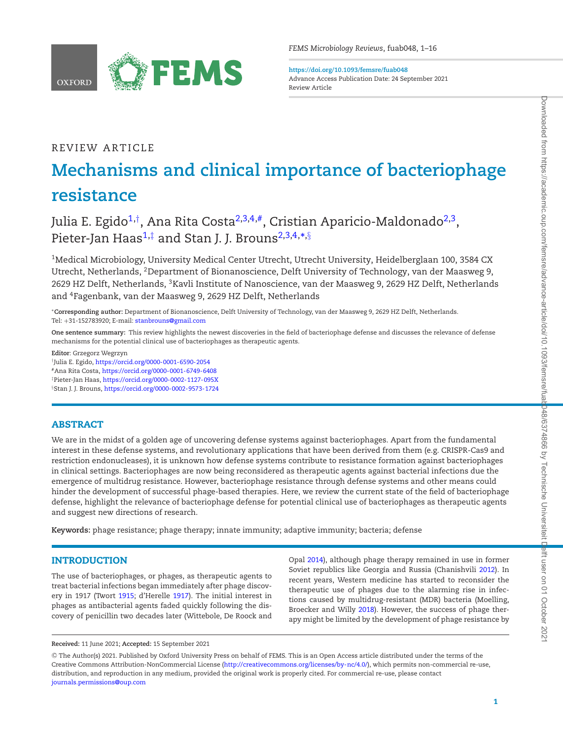

**https://doi.org/10.1093/femsre/fuab048** Advance Access Publication Date: 24 September 2021 Review Article

## REVIEW ARTICLE

# **Mechanisms and clinical importance of bacteriophage resistance**

Julia E. Egido<sup>[1,](#page-0-0)[†](#page-0-1)</sup>, Ana Rita Costa<sup>[2,](#page-0-2)[3,](#page-0-3)[4](#page-0-4),#</sup>, Cristian Aparicio-Maldonado<sup>2,3</sup>, Pieter-Jan Haas<sup>[1,](#page-0-0)[‡](#page-0-6)</sup> and Stan J. J. Brouns<sup>2,[3](#page-0-3)[,4,](#page-0-4)</sup>[\\*](#page-0-7),[§](#page-0-8)

<span id="page-0-2"></span><span id="page-0-0"></span><sup>1</sup>Medical Microbiology, University Medical Center Utrecht, Utrecht University, Heidelberglaan 100, 3584 CX Utrecht, Netherlands, 2Department of Bionanoscience, Delft University of Technology, van der Maasweg 9, 2629 HZ Delft, Netherlands, <sup>3</sup>Kavli Institute of Nanoscience, van der Maasweg 9, 2629 HZ Delft, Netherlands and 4Fagenbank, van der Maasweg 9, 2629 HZ Delft, Netherlands

<span id="page-0-7"></span><span id="page-0-4"></span><span id="page-0-3"></span>∗**Corresponding author:** Department of Bionanoscience, Delft University of Technology, van der Maasweg 9, 2629 HZ Delft, Netherlands. Tel: +31-152783920; E-mail: [stanbrouns@gmail.com](mailto:stanbrouns@gmail.com)

**One sentence summary:** This review highlights the newest discoveries in the field of bacteriophage defense and discusses the relevance of defense mechanisms for the potential clinical use of bacteriophages as therapeutic agents.

**Editor**: Grzegorz Wegrzyn

<span id="page-0-1"></span>†Julia E. Egido, <https://orcid.org/0000-0001-6590-2054>

<span id="page-0-5"></span>#Ana Rita Costa, <https://orcid.org/0000-0001-6749-6408>

<span id="page-0-6"></span>‡Pieter-Jan Haas, <https://orcid.org/0000-0002-1127-095X>

<span id="page-0-8"></span>§Stan J. J. Brouns, <https://orcid.org/0000-0002-9573-1724>

## **ABSTRACT**

We are in the midst of a golden age of uncovering defense systems against bacteriophages. Apart from the fundamental interest in these defense systems, and revolutionary applications that have been derived from them (e.g. CRISPR-Cas9 and restriction endonucleases), it is unknown how defense systems contribute to resistance formation against bacteriophages in clinical settings. Bacteriophages are now being reconsidered as therapeutic agents against bacterial infections due the emergence of multidrug resistance. However, bacteriophage resistance through defense systems and other means could hinder the development of successful phage-based therapies. Here, we review the current state of the field of bacteriophage defense, highlight the relevance of bacteriophage defense for potential clinical use of bacteriophages as therapeutic agents and suggest new directions of research.

**Keywords:** phage resistance; phage therapy; innate immunity; adaptive immunity; bacteria; defense

## **INTRODUCTION**

The use of bacteriophages, or phages, as therapeutic agents to treat bacterial infections began immediately after phage discovery in 1917 (Twort [1915;](#page-15-0) d'Herelle [1917\)](#page-12-0). The initial interest in phages as antibacterial agents faded quickly following the discovery of penicillin two decades later (Wittebole, De Roock and Opal [2014\)](#page-15-1), although phage therapy remained in use in former Soviet republics like Georgia and Russia (Chanishvili [2012\)](#page-12-1). In recent years, Western medicine has started to reconsider the therapeutic use of phages due to the alarming rise in infections caused by multidrug-resistant (MDR) bacteria (Moelling, Broecker and Willy [2018\)](#page-14-0). However, the success of phage therapy might be limited by the development of phage resistance by

<sup>C</sup> The Author(s) 2021. Published by Oxford University Press on behalf of FEMS. This is an Open Access article distributed under the terms of the Creative Commons Attribution-NonCommercial License [\(http://creativecommons.org/licenses/by-nc/4.0/\)](http://creativecommons.org/licenses/by-nc/4.0/), which permits non-commercial re-use, distribution, and reproduction in any medium, provided the original work is properly cited. For commercial re-use, please contact [journals.permissions@oup.com](mailto:journals.permissions@oup.com)

**Received:** 11 June 2021; **Accepted:** 15 September 2021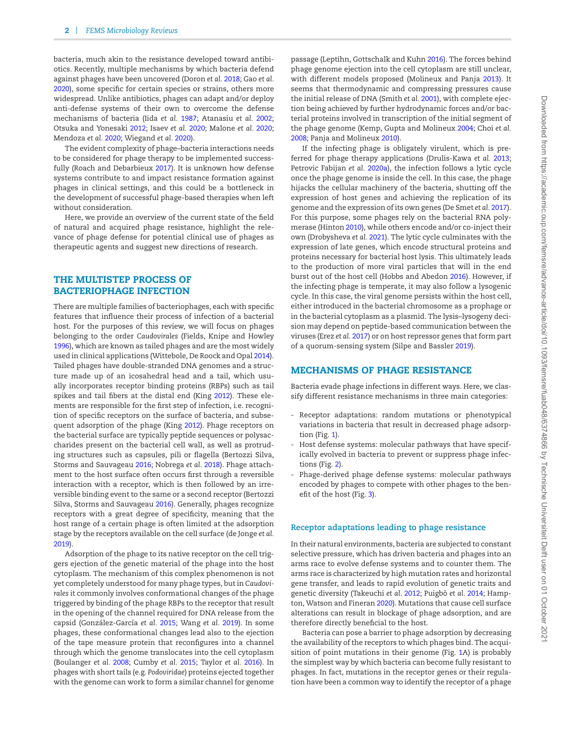bacteria, much akin to the resistance developed toward antibiotics. Recently, multiple mechanisms by which bacteria defend against phages have been uncovered (Doron *et al.* [2018;](#page-12-2) Gao *et al.* [2020\)](#page-12-3), some specific for certain species or strains, others more widespread. Unlike antibiotics, phages can adapt and/or deploy anti-defense systems of their own to overcome the defense mechanisms of bacteria (Iida *et al.* [1987;](#page-13-0) Atanasiu *et al.* [2002;](#page-11-0) Otsuka and Yonesaki [2012;](#page-14-1) Isaev *et al.* [2020;](#page-13-1) Malone *et al.* [2020;](#page-14-2) Mendoza *et al.* [2020;](#page-14-3) Wiegand *et al.* [2020\)](#page-15-2).

The evident complexity of phage–bacteria interactions needs to be considered for phage therapy to be implemented successfully (Roach and Debarbieux [2017\)](#page-14-4). It is unknown how defense systems contribute to and impact resistance formation against phages in clinical settings, and this could be a bottleneck in the development of successful phage-based therapies when left without consideration.

Here, we provide an overview of the current state of the field of natural and acquired phage resistance, highlight the relevance of phage defense for potential clinical use of phages as therapeutic agents and suggest new directions of research.

## **THE MULTISTEP PROCESS OF BACTERIOPHAGE INFECTION**

There are multiple families of bacteriophages, each with specific features that influence their process of infection of a bacterial host. For the purposes of this review, we will focus on phages belonging to the order *Caudovirales* (Fields, Knipe and Howley [1996\)](#page-12-4), which are known as tailed phages and are the most widely used in clinical applications (Wittebole, De Roock and Opal [2014\)](#page-15-1). Tailed phages have double-stranded DNA genomes and a structure made up of an icosahedral head and a tail, which usually incorporates receptor binding proteins (RBPs) such as tail spikes and tail fibers at the distal end (King [2012\)](#page-13-2). These elements are responsible for the first step of infection, i.e. recognition of specific receptors on the surface of bacteria, and subsequent adsorption of the phage (King [2012\)](#page-13-2). Phage receptors on the bacterial surface are typically peptide sequences or polysaccharides present on the bacterial cell wall, as well as protruding structures such as capsules, pili or flagella (Bertozzi Silva, Storms and Sauvageau [2016;](#page-11-1) Nobrega *et al.* [2018\)](#page-14-5). Phage attachment to the host surface often occurs first through a reversible interaction with a receptor, which is then followed by an irreversible binding event to the same or a second receptor (Bertozzi Silva, Storms and Sauvageau [2016\)](#page-11-1). Generally, phages recognize receptors with a great degree of specificity, meaning that the host range of a certain phage is often limited at the adsorption stage by the receptors available on the cell surface (de Jonge *et al.* [2019\)](#page-12-5).

Adsorption of the phage to its native receptor on the cell triggers ejection of the genetic material of the phage into the host cytoplasm. The mechanism of this complex phenomenon is not yet completely understood for many phage types, but in *Caudovirales* it commonly involves conformational changes of the phage triggered by binding of the phage RBPs to the receptor that result in the opening of the channel required for DNA release from the capsid (González-García et al. [2015;](#page-13-3) Wang et al. [2019\)](#page-15-3). In some phages, these conformational changes lead also to the ejection of the tape measure protein that reconfigures into a channel through which the genome translocates into the cell cytoplasm (Boulanger *et al.* [2008;](#page-11-2) Cumby *et al.* [2015;](#page-12-6) Taylor *et al.* [2016\)](#page-15-4). In phages with short tails (e.g. *Podoviridae*) proteins ejected together with the genome can work to form a similar channel for genome passage (Leptihn, Gottschalk and Kuhn [2016\)](#page-13-4). The forces behind phage genome ejection into the cell cytoplasm are still unclear, with different models proposed (Molineux and Panja [2013\)](#page-14-6). It seems that thermodynamic and compressing pressures cause the initial release of DNA (Smith *et al.* [2001\)](#page-15-5), with complete ejection being achieved by further hydrodynamic forces and/or bacterial proteins involved in transcription of the initial segment of the phage genome (Kemp, Gupta and Molineux [2004;](#page-13-5) Choi *et al.* [2008;](#page-12-7) Panja and Molineux [2010\)](#page-14-7).

If the infecting phage is obligately virulent, which is preferred for phage therapy applications (Drulis-Kawa *et al.* [2013;](#page-12-8) Petrovic Fabijan *et al.* [2020a\)](#page-14-8), the infection follows a lytic cycle once the phage genome is inside the cell. In this case, the phage hijacks the cellular machinery of the bacteria, shutting off the expression of host genes and achieving the replication of its genome and the expression of its own genes (De Smet *et al.* [2017\)](#page-12-9). For this purpose, some phages rely on the bacterial RNA polymerase (Hinton [2010\)](#page-13-6), while others encode and/or co-inject their own (Drobysheva *et al.* [2021\)](#page-12-10). The lytic cycle culminates with the expression of late genes, which encode structural proteins and proteins necessary for bacterial host lysis. This ultimately leads to the production of more viral particles that will in the end burst out of the host cell (Hobbs and Abedon [2016\)](#page-13-7). However, if the infecting phage is temperate, it may also follow a lysogenic cycle. In this case, the viral genome persists within the host cell, either introduced in the bacterial chromosome as a prophage or in the bacterial cytoplasm as a plasmid. The lysis–lysogeny decision may depend on peptide-based communication between the viruses (Erez *et al.* [2017\)](#page-12-11) or on host repressor genes that form part of a quorum-sensing system (Silpe and Bassler [2019\)](#page-15-6).

## **MECHANISMS OF PHAGE RESISTANCE**

Bacteria evade phage infections in different ways. Here, we classify different resistance mechanisms in three main categories:

- Receptor adaptations: random mutations or phenotypical variations in bacteria that result in decreased phage adsorption (Fig. [1\)](#page-2-0).
- Host defense systems: molecular pathways that have specifically evolved in bacteria to prevent or suppress phage infections (Fig. [2\)](#page-3-0).
- Phage-derived phage defense systems: molecular pathways encoded by phages to compete with other phages to the benefit of the host (Fig. [3\)](#page-7-0).

#### **Receptor adaptations leading to phage resistance**

In their natural environments, bacteria are subjected to constant selective pressure, which has driven bacteria and phages into an arms race to evolve defense systems and to counter them. The arms race is characterized by high mutation rates and horizontal gene transfer, and leads to rapid evolution of genetic traits and genetic diversity (Takeuchi *et al.* [2012;](#page-15-7) Puigbò *et al.* [2014;](#page-14-9) Hampton, Watson and Fineran [2020\)](#page-13-8). Mutations that cause cell surface alterations can result in blockage of phage adsorption, and are therefore directly beneficial to the host.

Bacteria can pose a barrier to phage adsorption by decreasing the availability of the receptors to which phages bind. The acquisition of point mutations in their genome (Fig. [1A](#page-2-0)) is probably the simplest way by which bacteria can become fully resistant to phages. In fact, mutations in the receptor genes or their regulation have been a common way to identify the receptor of a phage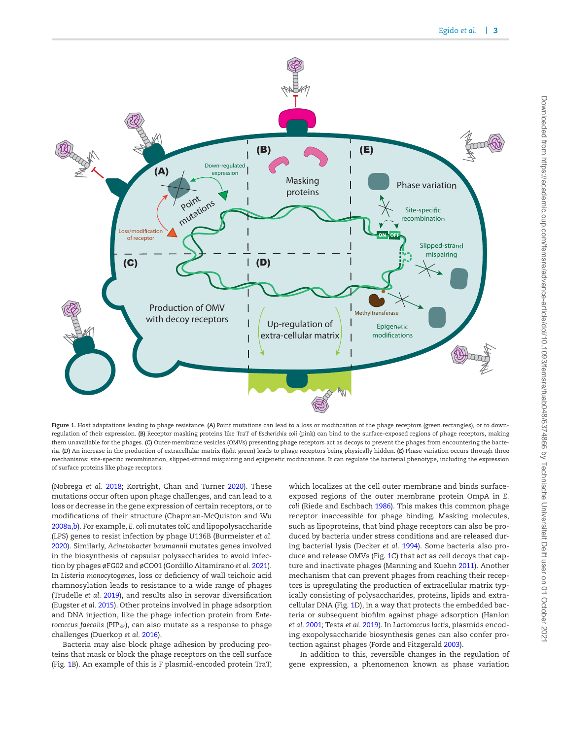<span id="page-2-0"></span>

**Figure 1.** Host adaptations leading to phage resistance. **(A)** Point mutations can lead to a loss or modification of the phage receptors (green rectangles), or to downregulation of their expression. **(B)** Receptor masking proteins like TraT of *Escherichia coli* (pink) can bind to the surface-exposed regions of phage receptors, making them unavailable for the phages. **(C)** Outer-membrane vesicles (OMVs) presenting phage receptors act as decoys to prevent the phages from encountering the bacteria. **(D)** An increase in the production of extracellular matrix (light green) leads to phage receptors being physically hidden. **(E)** Phase variation occurs through three mechanisms: site-specific recombination, slipped-strand mispairing and epigenetic modifications. It can regulate the bacterial phenotype, including the expression of surface proteins like phage receptors.

(Nobrega *et al.* [2018;](#page-14-5) Kortright, Chan and Turner [2020\)](#page-13-9). These mutations occur often upon phage challenges, and can lead to a loss or decrease in the gene expression of certain receptors, or to modifications of their structure (Chapman-McQuiston and Wu [2008a](#page-12-12)[,b\)](#page-12-13). For example, *E. coli* mutates *tolC* and lipopolysaccharide (LPS) genes to resist infection by phage U136B (Burmeister *et al.* [2020\)](#page-12-14). Similarly, *Acinetobacter baumannii* mutates genes involved in the biosynthesis of capsular polysaccharides to avoid infection by phages øFG02 and øCO01 (Gordillo Altamirano *et al.* [2021\)](#page-13-10). In *Listeria monocytogenes*, loss or deficiency of wall teichoic acid rhamnosylation leads to resistance to a wide range of phages (Trudelle *et al.* [2019\)](#page-15-8), and results also in serovar diversification (Eugster *et al.* [2015\)](#page-12-15). Other proteins involved in phage adsorption and DNA injection, like the phage infection protein from *Enterococcus faecalis* (PIP<sub>EF</sub>), can also mutate as a response to phage challenges (Duerkop *et al.* [2016\)](#page-12-16).

Bacteria may also block phage adhesion by producing proteins that mask or block the phage receptors on the cell surface (Fig. [1B](#page-2-0)). An example of this is F plasmid-encoded protein TraT, which localizes at the cell outer membrane and binds surfaceexposed regions of the outer membrane protein OmpA in *E. coli* (Riede and Eschbach [1986\)](#page-14-10). This makes this common phage receptor inaccessible for phage binding. Masking molecules, such as lipoproteins, that bind phage receptors can also be produced by bacteria under stress conditions and are released during bacterial lysis (Decker *et al.* [1994\)](#page-12-17). Some bacteria also produce and release OMVs (Fig. [1C](#page-2-0)) that act as cell decoys that capture and inactivate phages (Manning and Kuehn [2011\)](#page-14-11). Another mechanism that can prevent phages from reaching their receptors is upregulating the production of extracellular matrix typically consisting of polysaccharides, proteins, lipids and extracellular DNA (Fig. [1D](#page-2-0)), in a way that protects the embedded bacteria or subsequent biofilm against phage adsorption (Hanlon *et al.* [2001;](#page-13-11) Testa *et al.* [2019\)](#page-15-9). In *Lactococcus lactis*, plasmids encoding exopolysaccharide biosynthesis genes can also confer protection against phages (Forde and Fitzgerald [2003\)](#page-12-18).

In addition to this, reversible changes in the regulation of gene expression, a phenomenon known as phase variation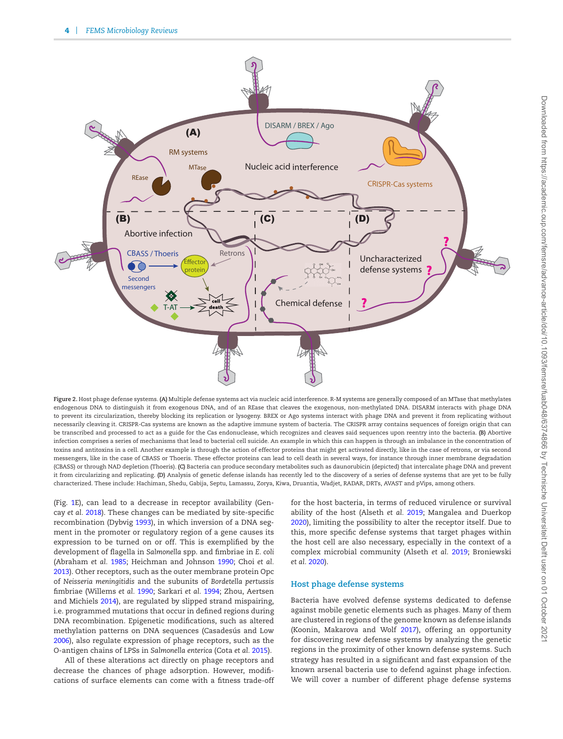<span id="page-3-0"></span>

**Figure 2.** Host phage defense systems. **(A)** Multiple defense systems act via nucleic acid interference. R-M systems are generally composed of an MTase that methylates endogenous DNA to distinguish it from exogenous DNA, and of an REase that cleaves the exogenous, non-methylated DNA. DISARM interacts with phage DNA to prevent its circularization, thereby blocking its replication or lysogeny. BREX or Ago systems interact with phage DNA and prevent it from replicating without necessarily cleaving it. CRISPR-Cas systems are known as the adaptive immune system of bacteria. The CRISPR array contains sequences of foreign origin that can be transcribed and processed to act as a guide for the Cas endonuclease, which recognizes and cleaves said sequences upon reentry into the bacteria. **(B)** Abortive infection comprises a series of mechanisms that lead to bacterial cell suicide. An example in which this can happen is through an imbalance in the concentration of toxins and antitoxins in a cell. Another example is through the action of effector proteins that might get activated directly, like in the case of retrons, or via second messengers, like in the case of CBASS or Thoeris. These effector proteins can lead to cell death in several ways, for instance through inner membrane degradation (CBASS) or through NAD depletion (Thoeris). **(C)** Bacteria can produce secondary metabolites such as daunorubicin (depicted) that intercalate phage DNA and prevent it from circularizing and replicating. **(D)** Analysis of genetic defense islands has recently led to the discovery of a series of defense systems that are yet to be fully characterized. These include: Hachiman, Shedu, Gabija, Septu, Lamassu, Zorya, Kiwa, Druantia, Wadjet, RADAR, DRTs, AVAST and pVips, among others.

(Fig. [1E](#page-2-0)), can lead to a decrease in receptor availability (Gencay *et al.* [2018\)](#page-12-19). These changes can be mediated by site-specific recombination (Dybvig [1993\)](#page-12-20), in which inversion of a DNA segment in the promoter or regulatory region of a gene causes its expression to be turned on or off. This is exemplified by the development of flagella in *Salmonella* spp. and fimbriae in *E. coli* (Abraham *et al.* [1985;](#page-11-3) Heichman and Johnson [1990;](#page-13-12) Choi *et al.* [2013\)](#page-12-21). Other receptors, such as the outer membrane protein Opc of *Neisseria meningitidis* and the subunits of *Bordetella pertussis* fimbriae (Willems *et al.* [1990;](#page-15-10) Sarkari *et al.* [1994;](#page-14-12) Zhou, Aertsen and Michiels [2014\)](#page-15-11), are regulated by slipped strand mispairing, i.e. programmed mutations that occur in defined regions during DNA recombination. Epigenetic modifications, such as altered methylation patterns on DNA sequences (Casadesús and Low [2006\)](#page-12-22), also regulate expression of phage receptors, such as the O-antigen chains of LPSs in *Salmonella enterica* (Cota *et al.* [2015\)](#page-12-23).

All of these alterations act directly on phage receptors and decrease the chances of phage adsorption. However, modifications of surface elements can come with a fitness trade-off for the host bacteria, in terms of reduced virulence or survival ability of the host (Alseth *et al.* [2019;](#page-11-4) Mangalea and Duerkop [2020\)](#page-14-13), limiting the possibility to alter the receptor itself. Due to this, more specific defense systems that target phages within the host cell are also necessary, especially in the context of a complex microbial community (Alseth *et al.* [2019;](#page-11-4) Broniewski *et al.* [2020\)](#page-12-24).

## **Host phage defense systems**

Bacteria have evolved defense systems dedicated to defense against mobile genetic elements such as phages. Many of them are clustered in regions of the genome known as defense islands (Koonin, Makarova and Wolf [2017\)](#page-13-13), offering an opportunity for discovering new defense systems by analyzing the genetic regions in the proximity of other known defense systems. Such strategy has resulted in a significant and fast expansion of the known arsenal bacteria use to defend against phage infection. We will cover a number of different phage defense systems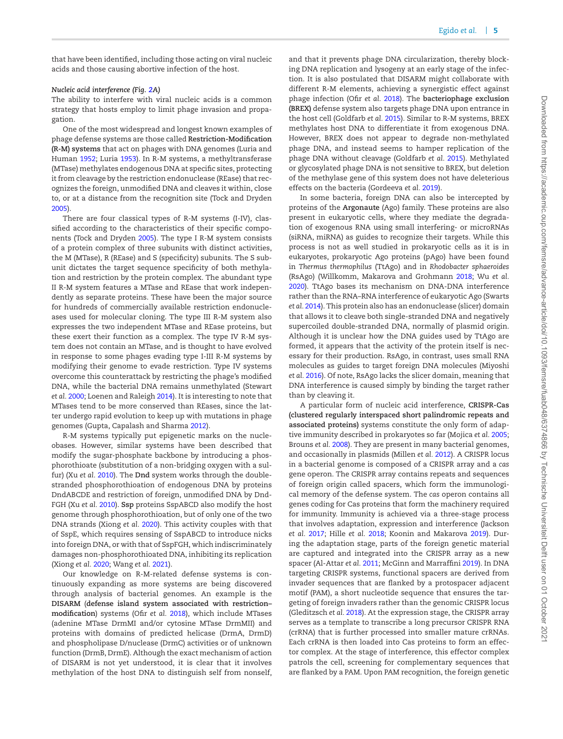that have been identified, including those acting on viral nucleic acids and those causing abortive infection of the host.

#### *Nucleic acid interference (Fig. [2A](#page-3-0))*

The ability to interfere with viral nucleic acids is a common strategy that hosts employ to limit phage invasion and propagation.

One of the most widespread and longest known examples of phage defense systems are those called **Restriction-Modification (R-M) systems** that act on phages with DNA genomes (Luria and Human [1952;](#page-13-14) Luria [1953\)](#page-13-15). In R-M systems, a methyltransferase (MTase) methylates endogenous DNA at specific sites, protecting it from cleavage by the restriction endonuclease (REase) that recognizes the foreign, unmodified DNA and cleaves it within, close to, or at a distance from the recognition site (Tock and Dryden [2005\)](#page-15-12).

There are four classical types of R-M systems (I-IV), classified according to the characteristics of their specific components (Tock and Dryden [2005\)](#page-15-12). The type I R-M system consists of a protein complex of three subunits with distinct activities, the M (MTase), R (REase) and S (specificity) subunits. The S subunit dictates the target sequence specificity of both methylation and restriction by the protein complex. The abundant type II R-M system features a MTase and REase that work independently as separate proteins. These have been the major source for hundreds of commercially available restriction endonucleases used for molecular cloning. The type III R-M system also expresses the two independent MTase and REase proteins, but these exert their function as a complex. The type IV R-M system does not contain an MTase, and is thought to have evolved in response to some phages evading type I-III R-M systems by modifying their genome to evade restriction. Type IV systems overcome this counterattack by restricting the phage's modified DNA, while the bacterial DNA remains unmethylated (Stewart *et al.* [2000;](#page-15-13) Loenen and Raleigh [2014\)](#page-13-16). It is interesting to note that MTases tend to be more conserved than REases, since the latter undergo rapid evolution to keep up with mutations in phage genomes (Gupta, Capalash and Sharma [2012\)](#page-13-17).

R-M systems typically put epigenetic marks on the nucleobases. However, similar systems have been described that modify the sugar-phosphate backbone by introducing a phosphorothioate (substitution of a non-bridging oxygen with a sulfur) (Xu *et al.* [2010\)](#page-15-14). The **Dnd** system works through the doublestranded phosphorothioation of endogenous DNA by proteins DndABCDE and restriction of foreign, unmodified DNA by Dnd-FGH (Xu *et al.* [2010\)](#page-15-14). **Ssp** proteins SspABCD also modify the host genome through phosphorothioation, but of only one of the two DNA strands (Xiong *et al.* [2020\)](#page-15-15). This activity couples with that of SspE, which requires sensing of SspABCD to introduce nicks into foreign DNA, or with that of SspFGH, which indiscriminately damages non-phosphorothioated DNA, inhibiting its replication (Xiong *et al.* [2020;](#page-15-15) Wang *et al.* [2021\)](#page-15-16).

Our knowledge on R-M-related defense systems is continuously expanding as more systems are being discovered through analysis of bacterial genomes. An example is the **DISARM** (**defense island system associated with restriction– modification**) systems (Ofir *et al.* [2018\)](#page-14-14), which include MTases (adenine MTase DrmMI and/or cytosine MTase DrmMII) and proteins with domains of predicted helicase (DrmA, DrmD) and phospholipase D/nuclease (DrmC) activities or of unknown function (DrmB, DrmE). Although the exact mechanism of action of DISARM is not yet understood, it is clear that it involves methylation of the host DNA to distinguish self from nonself, and that it prevents phage DNA circularization, thereby blocking DNA replication and lysogeny at an early stage of the infection. It is also postulated that DISARM might collaborate with different R-M elements, achieving a synergistic effect against phage infection (Ofir *et al.* [2018\)](#page-14-14). The **bacteriophage exclusion (BREX)** defense system also targets phage DNA upon entrance in the host cell (Goldfarb *et al.* [2015\)](#page-13-18). Similar to R-M systems, BREX methylates host DNA to differentiate it from exogenous DNA. However, BREX does not appear to degrade non-methylated phage DNA, and instead seems to hamper replication of the phage DNA without cleavage (Goldfarb *et al.* [2015\)](#page-13-18). Methylated or glycosylated phage DNA is not sensitive to BREX, but deletion of the methylase gene of this system does not have deleterious effects on the bacteria (Gordeeva *et al.* [2019\)](#page-13-19).

In some bacteria, foreign DNA can also be intercepted by proteins of the **Argonaute** (Ago) family. These proteins are also present in eukaryotic cells, where they mediate the degradation of exogenous RNA using small interfering- or microRNAs (siRNA, miRNA) as guides to recognize their targets. While this process is not as well studied in prokaryotic cells as it is in eukaryotes, prokaryotic Ago proteins (pAgo) have been found in *Thermus thermophilus* (TtAgo) and in *Rhodobacter sphaeroides* (RsAgo) (Willkomm, Makarova and Grohmann [2018;](#page-15-17) Wu *et al.* [2020\)](#page-15-18). TtAgo bases its mechanism on DNA-DNA interference rather than the RNA–RNA interference of eukaryotic Ago (Swarts *et al.* [2014\)](#page-15-19). This protein also has an endonuclease (slicer) domain that allows it to cleave both single-stranded DNA and negatively supercoiled double-stranded DNA, normally of plasmid origin. Although it is unclear how the DNA guides used by TtAgo are formed, it appears that the activity of the protein itself is necessary for their production. RsAgo, in contrast, uses small RNA molecules as guides to target foreign DNA molecules (Miyoshi *et al.* [2016\)](#page-14-15). Of note, RsAgo lacks the slicer domain, meaning that DNA interference is caused simply by binding the target rather than by cleaving it.

A particular form of nucleic acid interference, **CRISPR-Cas (clustered regularly interspaced short palindromic repeats and associated proteins)** systems constitute the only form of adaptive immunity described in prokaryotes so far (Mojica *et al.* [2005;](#page-14-16) Brouns *et al.* [2008\)](#page-12-25). They are present in many bacterial genomes, and occasionally in plasmids (Millen *et al.* [2012\)](#page-14-17). A CRISPR locus in a bacterial genome is composed of a CRISPR array and a *cas* gene operon. The CRISPR array contains repeats and sequences of foreign origin called spacers, which form the immunological memory of the defense system. The *cas* operon contains all genes coding for Cas proteins that form the machinery required for immunity. Immunity is achieved via a three-stage process that involves adaptation, expression and interference (Jackson *et al.* [2017;](#page-13-20) Hille *et al.* [2018;](#page-13-21) Koonin and Makarova [2019\)](#page-13-22). During the adaptation stage, parts of the foreign genetic material are captured and integrated into the CRISPR array as a new spacer (Al-Attar *et al.* [2011;](#page-11-5) McGinn and Marraffini [2019\)](#page-14-18). In DNA targeting CRISPR systems, functional spacers are derived from invader sequences that are flanked by a protospacer adjacent motif (PAM), a short nucleotide sequence that ensures the targeting of foreign invaders rather than the genomic CRISPR locus (Gleditzsch *et al.* [2018\)](#page-12-26). At the expression stage, the CRISPR array serves as a template to transcribe a long precursor CRISPR RNA (crRNA) that is further processed into smaller mature crRNAs. Each crRNA is then loaded into Cas proteins to form an effector complex. At the stage of interference, this effector complex patrols the cell, screening for complementary sequences that are flanked by a PAM. Upon PAM recognition, the foreign genetic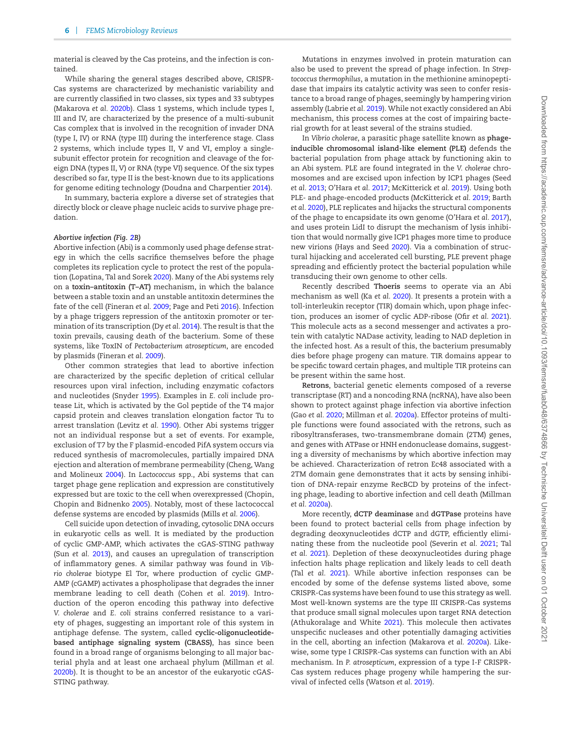material is cleaved by the Cas proteins, and the infection is contained.

While sharing the general stages described above, CRISPR-Cas systems are characterized by mechanistic variability and are currently classified in two classes, six types and 33 subtypes (Makarova *et al.* [2020b\)](#page-14-19). Class 1 systems, which include types I, III and IV, are characterized by the presence of a multi-subunit Cas complex that is involved in the recognition of invader DNA (type I, IV) or RNA (type III) during the interference stage. Class 2 systems, which include types II, V and VI, employ a singlesubunit effector protein for recognition and cleavage of the foreign DNA (types II, V) or RNA (type VI) sequence. Of the six types described so far, type II is the best-known due to its applications for genome editing technology (Doudna and Charpentier [2014\)](#page-12-27).

In summary, bacteria explore a diverse set of strategies that directly block or cleave phage nucleic acids to survive phage predation.

#### *Abortive infection (Fig. [2B](#page-3-0))*

Abortive infection (Abi) is a commonly used phage defense strategy in which the cells sacrifice themselves before the phage completes its replication cycle to protect the rest of the population (Lopatina, Tal and Sorek [2020\)](#page-13-23). Many of the Abi systems rely on a **toxin–antitoxin (T–AT)** mechanism, in which the balance between a stable toxin and an unstable antitoxin determines the fate of the cell (Fineran *et al.* [2009;](#page-12-28) Page and Peti [2016\)](#page-14-20). Infection by a phage triggers repression of the antitoxin promoter or termination of its transcription (Dy *et al.* [2014\)](#page-12-29). The result is that the toxin prevails, causing death of the bacterium. Some of these systems, like ToxIN of *Pectobacterium atrosepticum*, are encoded by plasmids (Fineran *et al.* [2009\)](#page-12-28).

Other common strategies that lead to abortive infection are characterized by the specific depletion of critical cellular resources upon viral infection, including enzymatic cofactors and nucleotides (Snyder [1995\)](#page-15-20). Examples in *E. coli* include protease Lit, which is activated by the Gol peptide of the T4 major capsid protein and cleaves translation elongation factor Tu to arrest translation (Levitz *et al.* [1990\)](#page-13-24). Other Abi systems trigger not an individual response but a set of events. For example, exclusion of T7 by the F plasmid-encoded PifA system occurs via reduced synthesis of macromolecules, partially impaired DNA ejection and alteration of membrane permeability (Cheng, Wang and Molineux [2004\)](#page-12-30). In *Lactococcus* spp., Abi systems that can target phage gene replication and expression are constitutively expressed but are toxic to the cell when overexpressed (Chopin, Chopin and Bidnenko [2005\)](#page-12-31). Notably, most of these lactococcal defense systems are encoded by plasmids (Mills *et al.* [2006\)](#page-14-21).

Cell suicide upon detection of invading, cytosolic DNA occurs in eukaryotic cells as well. It is mediated by the production of cyclic GMP-AMP, which activates the cGAS-STING pathway (Sun *et al.* [2013\)](#page-15-21), and causes an upregulation of transcription of inflammatory genes. A similar pathway was found in *Vibrio cholerae* biotype El Tor, where production of cyclic GMP-AMP (cGAMP) activates a phospholipase that degrades the inner membrane leading to cell death (Cohen *et al.* [2019\)](#page-12-32). Introduction of the operon encoding this pathway into defective *V. cholerae* and *E. coli* strains conferred resistance to a variety of phages, suggesting an important role of this system in antiphage defense. The system, called **cyclic-oligonucleotidebased antiphage signaling system (CBASS)**, has since been found in a broad range of organisms belonging to all major bacterial phyla and at least one archaeal phylum (Millman *et al.* [2020b\)](#page-14-22). It is thought to be an ancestor of the eukaryotic cGAS-STING pathway.

Mutations in enzymes involved in protein maturation can also be used to prevent the spread of phage infection. In *Streptococcus thermophilus*, a mutation in the methionine aminopeptidase that impairs its catalytic activity was seen to confer resistance to a broad range of phages, seemingly by hampering virion assembly (Labrie *et al.* [2019\)](#page-13-25). While not exactly considered an Abi mechanism, this process comes at the cost of impairing bacterial growth for at least several of the strains studied.

In *Vibrio cholerae*, a parasitic phage satellite known as **phageinducible chromosomal island-like element (PLE)** defends the bacterial population from phage attack by functioning akin to an Abi system. PLE are found integrated in the *V. cholerae* chromosomes and are excised upon infection by ICP1 phages (Seed *et al.* [2013;](#page-15-22) O'Hara *et al.* [2017;](#page-14-23) McKitterick *et al.* [2019\)](#page-14-24). Using both PLE- and phage-encoded products (McKitterick *et al.* [2019;](#page-14-24) Barth *et al.* [2020\)](#page-11-6), PLE replicates and hijacks the structural components of the phage to encapsidate its own genome (O'Hara *et al.* [2017\)](#page-14-23), and uses protein LidI to disrupt the mechanism of lysis inhibition that would normally give ICP1 phages more time to produce new virions (Hays and Seed [2020\)](#page-13-26). Via a combination of structural hijacking and accelerated cell bursting, PLE prevent phage spreading and efficiently protect the bacterial population while transducing their own genome to other cells.

Recently described **Thoeris** seems to operate via an Abi mechanism as well (Ka *et al.* [2020\)](#page-13-27). It presents a protein with a toll-interleukin receptor (TIR) domain which, upon phage infection, produces an isomer of cyclic ADP-ribose (Ofir *et al.* [2021\)](#page-14-25). This molecule acts as a second messenger and activates a protein with catalytic NADase activity, leading to NAD depletion in the infected host. As a result of this, the bacterium presumably dies before phage progeny can mature. TIR domains appear to be specific toward certain phages, and multiple TIR proteins can be present within the same host.

**Retrons**, bacterial genetic elements composed of a reverse transcriptase (RT) and a noncoding RNA (ncRNA), have also been shown to protect against phage infection via abortive infection (Gao *et al.* [2020;](#page-12-3) Millman *et al.* [2020a\)](#page-14-26). Effector proteins of multiple functions were found associated with the retrons, such as ribosyltransferases, two-transmembrane domain (2TM) genes, and genes with ATPase or HNH endonuclease domains, suggesting a diversity of mechanisms by which abortive infection may be achieved. Characterization of retron Ec48 associated with a 2TM domain gene demonstrates that it acts by sensing inhibition of DNA-repair enzyme RecBCD by proteins of the infecting phage, leading to abortive infection and cell death (Millman *et al.* [2020a\)](#page-14-26).

More recently, **dCTP deaminase** and **dGTPase** proteins have been found to protect bacterial cells from phage infection by degrading deoxynucleotides dCTP and dGTP, efficiently eliminating these from the nucleotide pool (Severin *et al.* [2021;](#page-15-23) Tal *et al.* [2021\)](#page-15-24). Depletion of these deoxynucleotides during phage infection halts phage replication and likely leads to cell death (Tal *et al.* [2021\)](#page-15-24). While abortive infection responses can be encoded by some of the defense systems listed above, some CRISPR-Cas systems have been found to use this strategy as well. Most well-known systems are the type III CRISPR-Cas systems that produce small signal molecules upon target RNA detection (Athukoralage and White [2021\)](#page-11-7). This molecule then activates unspecific nucleases and other potentially damaging activities in the cell, aborting an infection (Makarova *et al.* [2020a\)](#page-13-28). Likewise, some type I CRISPR-Cas systems can function with an Abi mechanism. In *P. atrosepticum*, expression of a type I-F CRISPR-Cas system reduces phage progeny while hampering the survival of infected cells (Watson *et al.* [2019\)](#page-15-25).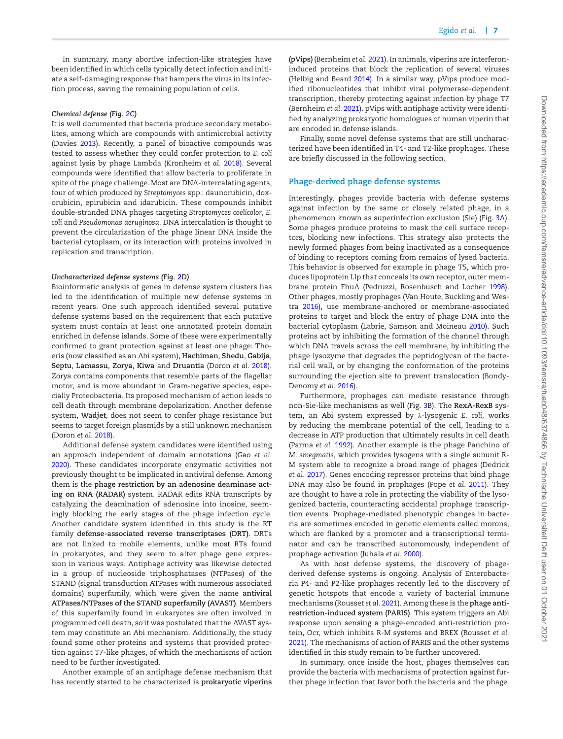In summary, many abortive infection-like strategies have been identified in which cells typically detect infection and initiate a self-damaging response that hampers the virus in its infection process, saving the remaining population of cells.

#### *Chemical defense (Fig. [2C](#page-3-0))*

It is well documented that bacteria produce secondary metabolites, among which are compounds with antimicrobial activity (Davies [2013\)](#page-12-33). Recently, a panel of bioactive compounds was tested to assess whether they could confer protection to *E. coli* against lysis by phage Lambda (Kronheim *et al.* [2018\)](#page-13-29). Several compounds were identified that allow bacteria to proliferate in spite of the phage challenge. Most are DNA-intercalating agents, four of which produced by *Streptomyces* spp.: daunorubicin, doxorubicin, epirubicin and idarubicin. These compounds inhibit double-stranded DNA phages targeting *Streptomyces coelicolor*, *E. coli* and *Pseudomonas aeruginosa*. DNA intercalation is thought to prevent the circularization of the phage linear DNA inside the bacterial cytoplasm, or its interaction with proteins involved in replication and transcription.

#### *Uncharacterized defense systems (Fig. [2D](#page-3-0))*

Bioinformatic analysis of genes in defense system clusters has led to the identification of multiple new defense systems in recent years. One such approach identified several putative defense systems based on the requirement that each putative system must contain at least one annotated protein domain enriched in defense islands. Some of these were experimentally confirmed to grant protection against at least one phage: Thoeris (now classified as an Abi system), **Hachiman**, **Shedu**, **Gabija**, **Septu**, **Lamassu**, **Zorya**, **Kiwa** and **Druantia** (Doron *et al.* [2018\)](#page-12-2). Zorya contains components that resemble parts of the flagellar motor, and is more abundant in Gram-negative species, especially Proteobacteria. Its proposed mechanism of action leads to cell death through membrane depolarization. Another defense system, **Wadjet**, does not seem to confer phage resistance but seems to target foreign plasmids by a still unknown mechanism (Doron *et al.* [2018\)](#page-12-2).

Additional defense system candidates were identified using an approach independent of domain annotations (Gao *et al.* [2020\)](#page-12-3). These candidates incorporate enzymatic activities not previously thought to be implicated in antiviral defense. Among them is the **phage restriction by an adenosine deaminase acting on RNA (RADAR)** system. RADAR edits RNA transcripts by catalyzing the deamination of adenosine into inosine, seemingly blocking the early stages of the phage infection cycle. Another candidate system identified in this study is the RT family **defense-associated reverse transcriptases (DRT)**. DRTs are not linked to mobile elements, unlike most RTs found in prokaryotes, and they seem to alter phage gene expression in various ways. Antiphage activity was likewise detected in a group of nucleoside triphosphatases (NTPases) of the STAND (signal transduction ATPases with numerous associated domains) superfamily, which were given the name **antiviral ATPases/NTPases of the STAND superfamily (AVAST)**. Members of this superfamily found in eukaryotes are often involved in programmed cell death, so it was postulated that the AVAST system may constitute an Abi mechanism. Additionally, the study found some other proteins and systems that provided protection against T7-like phages, of which the mechanisms of action need to be further investigated.

Another example of an antiphage defense mechanism that has recently started to be characterized is **prokaryotic viperins**

**(pVips)** (Bernheim *et al.* [2021\)](#page-11-8). In animals, viperins are interferoninduced proteins that block the replication of several viruses (Helbig and Beard [2014\)](#page-13-30). In a similar way, pVips produce modified ribonucleotides that inhibit viral polymerase-dependent transcription, thereby protecting against infection by phage T7 (Bernheim *et al.* [2021\)](#page-11-8). pVips with antiphage activity were identified by analyzing prokaryotic homologues of human viperin that are encoded in defense islands.

Finally, some novel defense systems that are still uncharacterized have been identified in T4- and T2-like prophages. These are briefly discussed in the following section.

#### **Phage-derived phage defense systems**

Interestingly, phages provide bacteria with defense systems against infection by the same or closely related phage, in a phenomenon known as superinfection exclusion (Sie) (Fig. [3A](#page-7-0)). Some phages produce proteins to mask the cell surface receptors, blocking new infections. This strategy also protects the newly formed phages from being inactivated as a consequence of binding to receptors coming from remains of lysed bacteria. This behavior is observed for example in phage T5, which produces lipoprotein Llp that conceals its own receptor, outer membrane protein FhuA (Pedruzzi, Rosenbusch and Locher [1998\)](#page-14-27). Other phages, mostly prophages (Van Houte, Buckling and Westra [2016\)](#page-15-26), use membrane-anchored or membrane-associated proteins to target and block the entry of phage DNA into the bacterial cytoplasm (Labrie, Samson and Moineau [2010\)](#page-13-31). Such proteins act by inhibiting the formation of the channel through which DNA travels across the cell membrane, by inhibiting the phage lysozyme that degrades the peptidoglycan of the bacterial cell wall, or by changing the conformation of the proteins surrounding the ejection site to prevent translocation (Bondy-Denomy *et al.* [2016\)](#page-11-9).

Furthermore, prophages can mediate resistance through non-Sie-like mechanisms as well (Fig. [3B](#page-7-0)). The **RexA-RexB** system, an Abi system expressed by λ-lysogenic *E. coli*, works by reducing the membrane potential of the cell, leading to a decrease in ATP production that ultimately results in cell death (Parma *et al.* [1992\)](#page-14-28). Another example is the phage Panchino of *M. smegmatis*, which provides lysogens with a single subunit R-M system able to recognize a broad range of phages (Dedrick *et al.* [2017\)](#page-12-34). Genes encoding repressor proteins that bind phage DNA may also be found in prophages (Pope *et al.* [2011\)](#page-14-29). They are thought to have a role in protecting the viability of the lysogenized bacteria, counteracting accidental prophage transcription events. Prophage-mediated phenotypic changes in bacteria are sometimes encoded in genetic elements called morons, which are flanked by a promoter and a transcriptional terminator and can be transcribed autonomously, independent of prophage activation (Juhala *et al.* [2000\)](#page-13-32).

As with host defense systems, the discovery of phagederived defense systems is ongoing. Analysis of Enterobacteria P4- and P2-like prophages recently led to the discovery of genetic hotspots that encode a variety of bacterial immune mechanisms (Rousset *et al.* [2021\)](#page-14-30). Among these is the **phage antirestriction-induced system (PARIS)**. This system triggers an Abi response upon sensing a phage-encoded anti-restriction protein, Ocr, which inhibits R-M systems and BREX (Rousset *et al.* [2021\)](#page-14-30). The mechanisms of action of PARIS and the other systems identified in this study remain to be further uncovered.

In summary, once inside the host, phages themselves can provide the bacteria with mechanisms of protection against further phage infection that favor both the bacteria and the phage.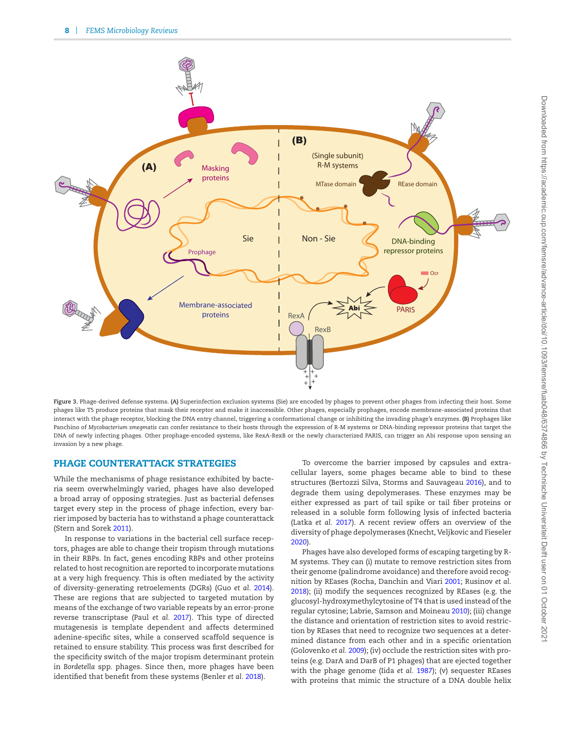<span id="page-7-0"></span>

**Figure 3.** Phage-derived defense systems. **(A)** Superinfection exclusion systems (Sie) are encoded by phages to prevent other phages from infecting their host. Some phages like T5 produce proteins that mask their receptor and make it inaccessible. Other phages, especially prophages, encode membrane-associated proteins that interact with the phage receptor, blocking the DNA entry channel, triggering a conformational change or inhibiting the invading phage's enzymes. **(B)** Prophages like Panchino of *Mycobacterium smegmatis* can confer resistance to their hosts through the expression of R-M systems or DNA-binding repressor proteins that target the DNA of newly infecting phages. Other prophage-encoded systems, like RexA-RexB or the newly characterized PARIS, can trigger an Abi response upon sensing an invasion by a new phage.

## **PHAGE COUNTERATTACK STRATEGIES**

While the mechanisms of phage resistance exhibited by bacteria seem overwhelmingly varied, phages have also developed a broad array of opposing strategies. Just as bacterial defenses target every step in the process of phage infection, every barrier imposed by bacteria has to withstand a phage counterattack (Stern and Sorek [2011\)](#page-15-27).

In response to variations in the bacterial cell surface receptors, phages are able to change their tropism through mutations in their RBPs. In fact, genes encoding RBPs and other proteins related to host recognition are reported to incorporate mutations at a very high frequency. This is often mediated by the activity of diversity-generating retroelements (DGRs) (Guo *et al.* [2014\)](#page-13-33). These are regions that are subjected to targeted mutation by means of the exchange of two variable repeats by an error-prone reverse transcriptase (Paul *et al.* [2017\)](#page-14-31). This type of directed mutagenesis is template dependent and affects determined adenine-specific sites, while a conserved scaffold sequence is retained to ensure stability. This process was first described for the specificity switch of the major tropism determinant protein in *Bordetella* spp. phages. Since then, more phages have been identified that benefit from these systems (Benler *et al.* [2018\)](#page-11-10).

To overcome the barrier imposed by capsules and extracellular layers, some phages became able to bind to these structures (Bertozzi Silva, Storms and Sauvageau [2016\)](#page-11-1), and to degrade them using depolymerases. These enzymes may be either expressed as part of tail spike or tail fiber proteins or released in a soluble form following lysis of infected bacteria (Latka *et al.* [2017\)](#page-13-34). A recent review offers an overview of the diversity of phage depolymerases (Knecht, Veljkovic and Fieseler [2020\)](#page-13-35).

Phages have also developed forms of escaping targeting by R-M systems. They can (i) mutate to remove restriction sites from their genome (palindrome avoidance) and therefore avoid recognition by REases (Rocha, Danchin and Viari [2001;](#page-14-32) Rusinov *et al.* [2018\)](#page-14-33); (ii) modify the sequences recognized by REases (e.g. the glucosyl-hydroxymethylcytosine of T4 that is used instead of the regular cytosine; Labrie, Samson and Moineau [2010\)](#page-13-31); (iii) change the distance and orientation of restriction sites to avoid restriction by REases that need to recognize two sequences at a determined distance from each other and in a specific orientation (Golovenko *et al.* [2009\)](#page-13-36); (iv) occlude the restriction sites with proteins (e.g. DarA and DarB of P1 phages) that are ejected together with the phage genome (Iida *et al.* [1987\)](#page-13-0); (v) sequester REases with proteins that mimic the structure of a DNA double helix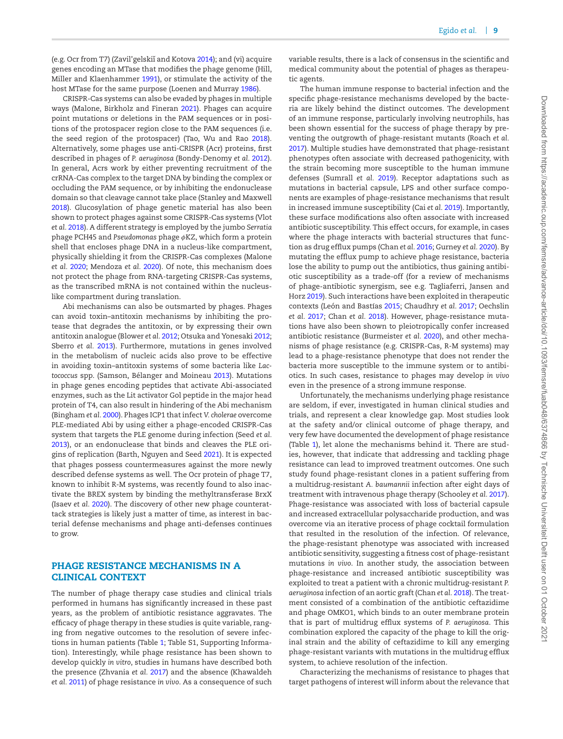(e.g. Ocr from T7) (Zavil'gelskiı̆ and Kotova [2014\)](#page-15-28); and (vi) acquire genes encoding an MTase that modifies the phage genome (Hill, Miller and Klaenhammer [1991\)](#page-13-37), or stimulate the activity of the host MTase for the same purpose (Loenen and Murray [1986\)](#page-13-38).

CRISPR-Cas systems can also be evaded by phages in multiple ways (Malone, Birkholz and Fineran [2021\)](#page-14-34). Phages can acquire point mutations or deletions in the PAM sequences or in positions of the protospacer region close to the PAM sequences (i.e. the seed region of the protospacer) (Tao, Wu and Rao [2018\)](#page-15-29). Alternatively, some phages use anti-CRISPR (Acr) proteins, first described in phages of *P. aeruginosa* (Bondy-Denomy *et al.* [2012\)](#page-11-11). In general, Acrs work by either preventing recruitment of the crRNA-Cas complex to the target DNA by binding the complex or occluding the PAM sequence, or by inhibiting the endonuclease domain so that cleavage cannot take place (Stanley and Maxwell [2018\)](#page-15-30). Glucosylation of phage genetic material has also been shown to protect phages against some CRISPR-Cas systems (Vlot *et al.* [2018\)](#page-15-31). A different strategy is employed by the jumbo *Serratia* phage PCH45 and *Pseudomonas* phage φKZ, which form a protein shell that encloses phage DNA in a nucleus-like compartment, physically shielding it from the CRISPR-Cas complexes (Malone *et al.* [2020;](#page-14-2) Mendoza *et al.* [2020\)](#page-14-3). Of note, this mechanism does not protect the phage from RNA-targeting CRISPR-Cas systems, as the transcribed mRNA is not contained within the nucleuslike compartment during translation.

Abi mechanisms can also be outsmarted by phages. Phages can avoid toxin–antitoxin mechanisms by inhibiting the protease that degrades the antitoxin, or by expressing their own antitoxin analogue (Blower *et al.* [2012;](#page-11-12) Otsuka and Yonesaki [2012;](#page-14-1) Sberro *et al.* [2013\)](#page-15-32). Furthermore, mutations in genes involved in the metabolism of nucleic acids also prove to be effective in avoiding toxin–antitoxin systems of some bacteria like *Lac-*tococcus spp. (Samson, Bélanger and Moineau [2013\)](#page-14-35). Mutations in phage genes encoding peptides that activate Abi-associated enzymes, such as the Lit activator Gol peptide in the major head protein of T4, can also result in hindering of the Abi mechanism (Bingham *et al.* [2000\)](#page-11-13). Phages ICP1 that infect *V. cholerae* overcome PLE-mediated Abi by using either a phage-encoded CRISPR-Cas system that targets the PLE genome during infection (Seed *et al.* [2013\)](#page-15-22), or an endonuclease that binds and cleaves the PLE origins of replication (Barth, Nguyen and Seed [2021\)](#page-11-14). It is expected that phages possess countermeasures against the more newly described defense systems as well. The Ocr protein of phage T7, known to inhibit R-M systems, was recently found to also inactivate the BREX system by binding the methyltransferase BrxX (Isaev *et al.* [2020\)](#page-13-1). The discovery of other new phage counterattack strategies is likely just a matter of time, as interest in bacterial defense mechanisms and phage anti-defenses continues to grow.

## **PHAGE RESISTANCE MECHANISMS IN A CLINICAL CONTEXT**

The number of phage therapy case studies and clinical trials performed in humans has significantly increased in these past years, as the problem of antibiotic resistance aggravates. The efficacy of phage therapy in these studies is quite variable, ranging from negative outcomes to the resolution of severe infections in human patients (Table [1;](#page-9-0) Table S1, Supporting Information). Interestingly, while phage resistance has been shown to develop quickly *in vitro*, studies in humans have described both the presence (Zhvania *et al.* [2017\)](#page-15-33) and the absence (Khawaldeh *et al.* [2011\)](#page-13-39) of phage resistance *in vivo*. As a consequence of such variable results, there is a lack of consensus in the scientific and medical community about the potential of phages as therapeutic agents.

The human immune response to bacterial infection and the specific phage-resistance mechanisms developed by the bacteria are likely behind the distinct outcomes. The development of an immune response, particularly involving neutrophils, has been shown essential for the success of phage therapy by preventing the outgrowth of phage-resistant mutants (Roach *et al.* [2017\)](#page-14-36). Multiple studies have demonstrated that phage-resistant phenotypes often associate with decreased pathogenicity, with the strain becoming more susceptible to the human immune defenses (Sumrall *et al.* [2019\)](#page-15-34). Receptor adaptations such as mutations in bacterial capsule, LPS and other surface components are examples of phage-resistance mechanisms that result in increased immune susceptibility (Cai *et al.* [2019\)](#page-12-35). Importantly, these surface modifications also often associate with increased antibiotic susceptibility. This effect occurs, for example, in cases where the phage interacts with bacterial structures that function as drug efflux pumps (Chan *et al.* [2016;](#page-12-36) Gurney *et al.* [2020\)](#page-13-40). By mutating the efflux pump to achieve phage resistance, bacteria lose the ability to pump out the antibiotics, thus gaining antibiotic susceptibility as a trade-off (for a review of mechanisms of phage-antibiotic synergism, see e.g. Tagliaferri, Jansen and Horz [2019\)](#page-15-35). Such interactions have been exploited in therapeutic contexts (León and Bastías [2015;](#page-13-41) Chaudhry *et al.* [2017;](#page-12-37) Oechslin *et al.* [2017;](#page-14-37) Chan *et al.* [2018\)](#page-12-38). However, phage-resistance mutations have also been shown to pleiotropically confer increased antibiotic resistance (Burmeister *et al.* [2020\)](#page-12-14), and other mechanisms of phage resistance (e.g. CRISPR-Cas, R-M systems) may lead to a phage-resistance phenotype that does not render the bacteria more susceptible to the immune system or to antibiotics. In such cases, resistance to phages may develop *in vivo* even in the presence of a strong immune response.

Unfortunately, the mechanisms underlying phage resistance are seldom, if ever, investigated in human clinical studies and trials, and represent a clear knowledge gap. Most studies look at the safety and/or clinical outcome of phage therapy, and very few have documented the development of phage resistance (Table [1\)](#page-9-0), let alone the mechanisms behind it. There are studies, however, that indicate that addressing and tackling phage resistance can lead to improved treatment outcomes. One such study found phage-resistant clones in a patient suffering from a multidrug-resistant *A. baumannii* infection after eight days of treatment with intravenous phage therapy (Schooley *et al.* [2017\)](#page-15-36). Phage-resistance was associated with loss of bacterial capsule and increased extracellular polysaccharide production, and was overcome via an iterative process of phage cocktail formulation that resulted in the resolution of the infection. Of relevance, the phage-resistant phenotype was associated with increased antibiotic sensitivity, suggesting a fitness cost of phage-resistant mutations *in vivo*. In another study, the association between phage-resistance and increased antibiotic susceptibility was exploited to treat a patient with a chronic multidrug-resistant *P. aeruginosa* infection of an aortic graft (Chan *et al.* [2018\)](#page-12-38). The treatment consisted of a combination of the antibiotic ceftazidime and phage OMKO1, which binds to an outer membrane protein that is part of multidrug efflux systems of *P. aeruginosa*. This combination explored the capacity of the phage to kill the original strain and the ability of ceftazidime to kill any emerging phage-resistant variants with mutations in the multidrug efflux system, to achieve resolution of the infection.

Characterizing the mechanisms of resistance to phages that target pathogens of interest will inform about the relevance that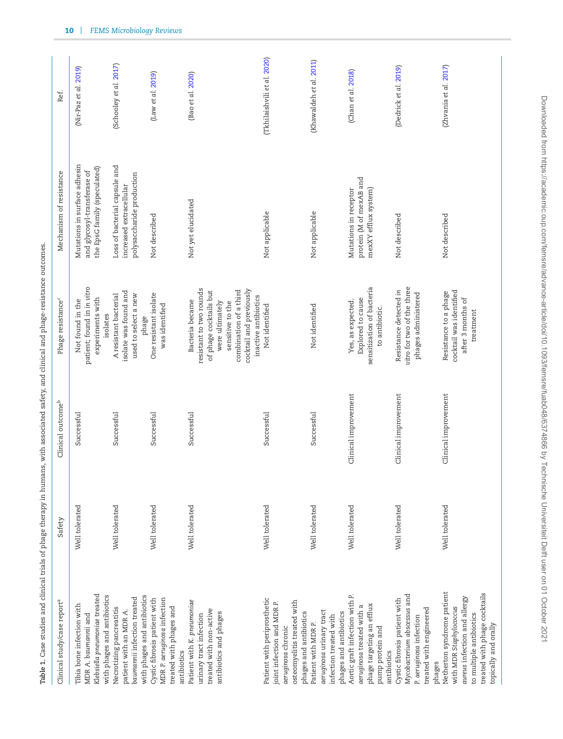| Clinical study/case report <sup>a</sup>                                                                                                                                  | Safety         | Clinical outcome <sup>b</sup> | Phage resistance <sup>c</sup>                                                                                                                                                            | Mechanism of resistance                                                                     | Ref.                        |
|--------------------------------------------------------------------------------------------------------------------------------------------------------------------------|----------------|-------------------------------|------------------------------------------------------------------------------------------------------------------------------------------------------------------------------------------|---------------------------------------------------------------------------------------------|-----------------------------|
| Klebsiella pneumoniae treated<br>with phages and antibiotics<br>Tibia bone infection with<br>MDR A. baumannii and                                                        | Well tolerated | Successful                    | patient; found in in vitro<br>experiments with<br>Not found in the<br>isolates                                                                                                           | Mutations in surface adhesin<br>the EpsG family (speculated)<br>and glycosyl-transferase of | (Nir-Paz et al. 2019)       |
| with phages and antibiotics<br>baumannii infection treated<br>Necrotizing pancreatitis<br>patient with an MDR A.                                                         | Well tolerated | Successful                    | isolate was found and<br>A resistant bacterial<br>used to select a new<br>phage                                                                                                          | Loss of bacterial capsule and<br>polysaccharide production<br>increased extracellular       | (Schooley et al. 2017)      |
| MDR P. aeruginosa infection<br>Cystic fibrosis patient with<br>treated with phages and<br>antibiotics                                                                    | Well tolerated | Successful                    | One resistant isolate<br>was identified                                                                                                                                                  | Not described                                                                               | (Law et al. 2019)           |
| Patient with K. pneumoniae<br>treated with non-active<br>antibiotics and phages<br>urinary tract infection                                                               | Well tolerated | Successful                    | resistant to two rounds<br>cocktail and previously<br>of phage cocktails but<br>combination of a third<br>inactive antibiotics<br>Bacteria became<br>were ultimately<br>sensitive to the | Not yet elucidated                                                                          | (Bao et al. 2020)           |
| Patient with periprosthetic<br>osteomyelitis treated with<br>joint infection and MDR P.<br>phages and antibiotics<br>aeruginosa chronic                                  | Well tolerated | Successful                    | Not identified                                                                                                                                                                           | Not applicable                                                                              | (Tkhilaishvili et al. 2020) |
| aeruginosa uninary tract<br>phages and antibiotics<br>infection treated with<br>Patient with MDR P.                                                                      | Well tolerated | Successful                    | Not identified                                                                                                                                                                           | Not applicable                                                                              | (Khawaldeh et al. 2011)     |
| Aortic graft infection with P.<br>phage targeting an efflux<br>aeruginosa treated with a<br>pump protein and<br>antibiotics                                              | Well tolerated | Clinical improvement          | sensitization of bacteria<br>Explored to cause<br>Yes, as expected.<br>to antibiotic.                                                                                                    | protein (M of mexAB and<br>Mutations in receptor<br>mexXY efflux system)                    | (Chan et al. 2018)          |
| Mycobacterium abscessus and<br>Cystic fibrosis patient with<br>treated with engineered<br>P. aeruginosa infection<br>phages                                              | Well tolerated | Clinical improvement          | vitro for two of the three<br>Resistance detected in<br>phages administered                                                                                                              | Not described                                                                               | (Dedrick et al. 2019)       |
| Netherton syndrome patient<br>treated with phage cocktails<br>aureus infection and allergy<br>with MDR Staphylococcus<br>to multiple antibiotics<br>topically and orally | Well tolerated | Clinical improvement          | cocktail was identified<br>Resistance to a phage<br>after 3 months of<br>treatment                                                                                                       | Not described                                                                               | (Zhvania et al. 2017)       |

<span id="page-9-0"></span>Table 1. Case studies and clinical trials of phage therapy in humans, with associated safety, and clinical and phage-resistance outcomes. **Table 1.** Case studies and clinical trials of phage therapy in humans, with associated safety, and clinical and phage-resistance outcomes.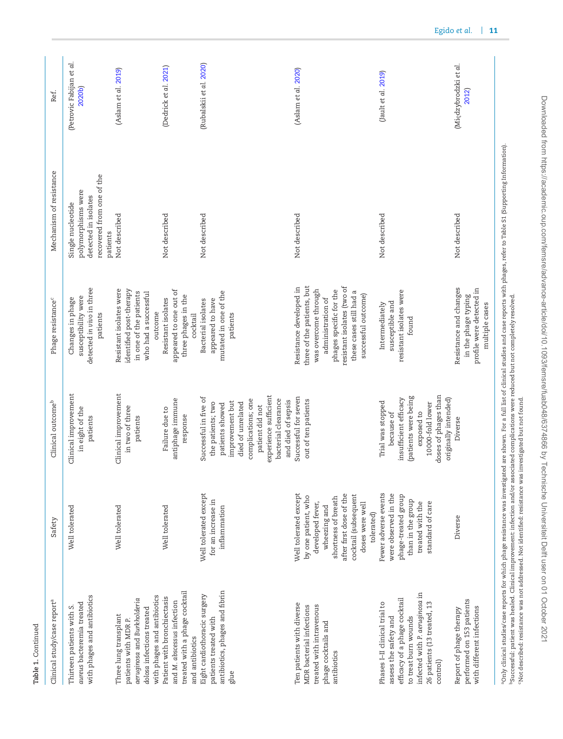| Clinical study/case report <sup>a</sup>                                                                                                                                                     | Safety                                                                                                                                                                                      | Clinical outcome <sup>b</sup>                                                                                                                                                                                        | Phage resistance <sup>c</sup>                                                                                                                                                                                 | Mechanism of resistance                                                                                                                                                                                  | Ref.                               |
|---------------------------------------------------------------------------------------------------------------------------------------------------------------------------------------------|---------------------------------------------------------------------------------------------------------------------------------------------------------------------------------------------|----------------------------------------------------------------------------------------------------------------------------------------------------------------------------------------------------------------------|---------------------------------------------------------------------------------------------------------------------------------------------------------------------------------------------------------------|----------------------------------------------------------------------------------------------------------------------------------------------------------------------------------------------------------|------------------------------------|
| with phages and antibiotics<br>aureus bacteremia treated<br>Thirteen patients with S.                                                                                                       | Well tolerated                                                                                                                                                                              | Clinical improvement<br>in eight of the<br>patients                                                                                                                                                                  | detected in vivo in three<br>susceptibility were<br>Changes in phage<br>patients                                                                                                                              | recovered from one of the<br>polymorphisms were<br>detected in isolates<br>Single nucleotide<br>patients                                                                                                 | (Petrovic Fabijan et al.<br>2020b) |
| with phages and antibiotics<br>aeruginosa and Burkholderia<br>dolosa infections treated<br>Three lung transplant<br>patients with MDR P.                                                    | Well tolerated                                                                                                                                                                              | Clinical improvement<br>in two of three<br>patients                                                                                                                                                                  | Resistant isolates were<br>identified post-therapy<br>in one of the patients<br>who had a successful<br>outcome                                                                                               | Not described                                                                                                                                                                                            | (Aslam et al. 2019)                |
| treated with a phage cocktail<br>Patient with bronchiectasis<br>and M. abscessus infection<br>and antibiotics                                                                               | Well tolerated                                                                                                                                                                              | antiphage immune<br>Failure due to<br>response                                                                                                                                                                       | appeared to one out of<br>three phages in the<br>Resistant isolates<br>cocktail                                                                                                                               | Not described                                                                                                                                                                                            | (Dedrick et al. 2021)              |
| antibiotics, phages and fibrin<br>Eight cardiothoracic surgery<br>patients treated with<br>glue                                                                                             | Well tolerated except<br>for an increase in<br>inflammation                                                                                                                                 | experience sufficient<br>Successful in five of<br>complications; one<br>bacterial clearance<br>and died of sepsis<br>improvement but<br>died of unrelated<br>the patients; two<br>patients showed<br>patient did not | mutated in one of the<br>appeared to have<br>Bacterial isolates<br>patients                                                                                                                                   | Not described                                                                                                                                                                                            | (Rubalskii et al. 2020)            |
| Ten patients with diverse<br>treated with intravenous<br>MDR bacterial infections<br>phage cocktails and<br>antibiotics                                                                     | Well tolerated except<br>after first dose of the<br>cocktail (subsequent<br>by one patient, who<br>shortness of breath<br>developed fever,<br>doses were well<br>wheezing and<br>tolerated) | Successful for seven<br>out of ten patients                                                                                                                                                                          | three of the patients, but<br>resistant isolates (two of<br>Resistance developed in<br>was overcome through<br>phages specific for the<br>these cases still had a<br>successful outcome)<br>administration of | Not described                                                                                                                                                                                            | (Aslam et al. 2020)                |
| infected with P. aeruginosa in<br>efficacy of a phage cocktail<br>26 patients (13 treated, 13<br>Phases I-II clinical trial to<br>assess the safety and<br>to treat burn wounds<br>control) | Fewer adverse events<br>were observed in the<br>phage-treated group<br>than in the group<br>treated with the<br>standard of care                                                            | doses of phages than<br>(patients were being<br>originally intended)<br>insufficient efficacy<br>Trial was stopped<br>10000-fold lower<br>exposed to<br>because of                                                   | resistant isolates were<br>susceptible and<br>Intermediately<br>found                                                                                                                                         | Not described                                                                                                                                                                                            | (Jault et al. 2019)                |
| performed on 153 patients<br>with different infections<br>Report of phage therapy                                                                                                           | Diverse                                                                                                                                                                                     | Diverse                                                                                                                                                                                                              | Resistance and changes<br>profile were detected in<br>in the phage typing<br>multiple cases                                                                                                                   | Not described                                                                                                                                                                                            | (Międzybrodzki et al.<br>2012)     |
|                                                                                                                                                                                             |                                                                                                                                                                                             |                                                                                                                                                                                                                      |                                                                                                                                                                                                               | °Only clinical studies/case reports for which phage resistance was investigated are shown. For a full list of clinical studies and case reports with phages, refer to Table 51 (Supporting Information). |                                    |

**Table 1.** Continued

Table 1. Continued

Downloaded from https://academic.oup.com/femsre/advance-article/doi/10.1093/femsre/fuab048/6374866 by Technische Universiteit Delft user on 01 October 2021 Downloaded from https://academic.oup.com/femsre/advance-article/doi/10.1093/femsre/fuab048/6374866 by Technische Universiteit Delft user on 01 October 2021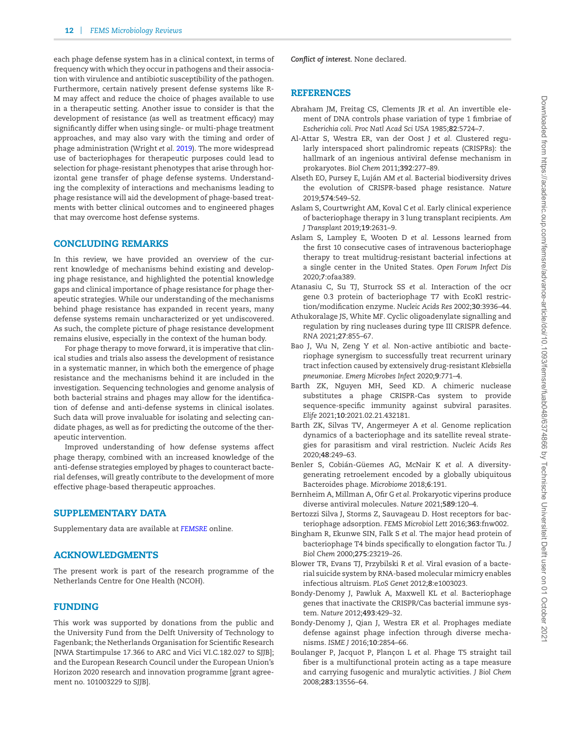each phage defense system has in a clinical context, in terms of frequency with which they occur in pathogens and their association with virulence and antibiotic susceptibility of the pathogen. Furthermore, certain natively present defense systems like R-M may affect and reduce the choice of phages available to use in a therapeutic setting. Another issue to consider is that the development of resistance (as well as treatment efficacy) may significantly differ when using single- or multi-phage treatment approaches, and may also vary with the timing and order of phage administration (Wright *et al.* [2019\)](#page-15-38). The more widespread use of bacteriophages for therapeutic purposes could lead to selection for phage-resistant phenotypes that arise through horizontal gene transfer of phage defense systems. Understanding the complexity of interactions and mechanisms leading to phage resistance will aid the development of phage-based treatments with better clinical outcomes and to engineered phages that may overcome host defense systems.

#### **CONCLUDING REMARKS**

In this review, we have provided an overview of the current knowledge of mechanisms behind existing and developing phage resistance, and highlighted the potential knowledge gaps and clinical importance of phage resistance for phage therapeutic strategies. While our understanding of the mechanisms behind phage resistance has expanded in recent years, many defense systems remain uncharacterized or yet undiscovered. As such, the complete picture of phage resistance development remains elusive, especially in the context of the human body.

For phage therapy to move forward, it is imperative that clinical studies and trials also assess the development of resistance in a systematic manner, in which both the emergence of phage resistance and the mechanisms behind it are included in the investigation. Sequencing technologies and genome analysis of both bacterial strains and phages may allow for the identification of defense and anti-defense systems in clinical isolates. Such data will prove invaluable for isolating and selecting candidate phages, as well as for predicting the outcome of the therapeutic intervention.

Improved understanding of how defense systems affect phage therapy, combined with an increased knowledge of the anti-defense strategies employed by phages to counteract bacterial defenses, will greatly contribute to the development of more effective phage-based therapeutic approaches.

### **SUPPLEMENTARY DATA**

Supplementary data are available at *[FEMSRE](https://academic.oup.com/femsre/article-lookup/doi/10.1093/femsre/fuab048#supplementary-data)* online.

## **ACKNOWLEDGMENTS**

The present work is part of the research programme of the Netherlands Centre for One Health (NCOH).

## **FUNDING**

This work was supported by donations from the public and the University Fund from the Delft University of Technology to Fagenbank; the Netherlands Organisation for Scientific Research [NWA Startimpulse 17.366 to ARC and Vici VI.C.182.027 to SJJB]; and the European Research Council under the European Union's Horizon 2020 research and innovation programme [grant agreement no. 101003229 to SJJB].

*Conflict of interest.* None declared.

#### **REFERENCES**

- <span id="page-11-3"></span>Abraham JM, Freitag CS, Clements JR *et al.* An invertible element of DNA controls phase variation of type 1 fimbriae of *Escherichia coli*. *Proc Natl Acad Sci USA* 1985;**82**:5724–7.
- <span id="page-11-5"></span>Al-Attar S, Westra ER, van der Oost J *et al.* Clustered regularly interspaced short palindromic repeats (CRISPRs): the hallmark of an ingenious antiviral defense mechanism in prokaryotes. *Biol Chem* 2011;**392**:277–89.
- <span id="page-11-4"></span>Alseth EO, Pursey E, Luján AM et al. Bacterial biodiversity drives the evolution of CRISPR-based phage resistance. *Nature* 2019;**574**:549–52.
- <span id="page-11-16"></span>Aslam S, Courtwright AM, Koval C *et al.* Early clinical experience of bacteriophage therapy in 3 lung transplant recipients. *Am J Transplant* 2019;**19**:2631–9.
- <span id="page-11-17"></span>Aslam S, Lampley E, Wooten D *et al.* Lessons learned from the first 10 consecutive cases of intravenous bacteriophage therapy to treat multidrug-resistant bacterial infections at a single center in the United States. *Open Forum Infect Dis* 2020;**7**:ofaa389.
- <span id="page-11-0"></span>Atanasiu C, Su TJ, Sturrock SS *et al.* Interaction of the ocr gene 0.3 protein of bacteriophage T7 with EcoKl restriction/modification enzyme. *Nucleic Acids Res* 2002;**30**:3936–44.
- <span id="page-11-7"></span>Athukoralage JS, White MF. Cyclic oligoadenylate signalling and regulation by ring nucleases during type III CRISPR defence. *RNA* 2021;**27**:855–67.
- <span id="page-11-15"></span>Bao J, Wu N, Zeng Y *et al.* Non-active antibiotic and bacteriophage synergism to successfully treat recurrent urinary tract infection caused by extensively drug-resistant *Klebsiella pneumoniae*. *Emerg Microbes Infect* 2020;**9**:771–4.
- <span id="page-11-14"></span>Barth ZK, Nguyen MH, Seed KD. A chimeric nuclease substitutes a phage CRISPR-Cas system to provide sequence-specific immunity against subviral parasites. *Elife* 2021;**10**:2021.02.21.432181.
- <span id="page-11-6"></span>Barth ZK, Silvas TV, Angermeyer A *et al.* Genome replication dynamics of a bacteriophage and its satellite reveal strategies for parasitism and viral restriction. *Nucleic Acids Res* 2020;**48**:249–63.
- <span id="page-11-10"></span>Benler S, Cobián-Güemes AG, McNair K et al. A diversitygenerating retroelement encoded by a globally ubiquitous Bacteroides phage. *Microbiome* 2018;**6**:191.
- <span id="page-11-8"></span>Bernheim A, Millman A, Ofir G *et al.* Prokaryotic viperins produce diverse antiviral molecules. *Nature* 2021;**589**:120–4.
- <span id="page-11-1"></span>Bertozzi Silva J, Storms Z, Sauvageau D. Host receptors for bacteriophage adsorption. *FEMS Microbiol Lett* 2016;**363**:fnw002.
- <span id="page-11-13"></span>Bingham R, Ekunwe SIN, Falk S *et al.* The major head protein of bacteriophage T4 binds specifically to elongation factor Tu. *J Biol Chem* 2000;**275**:23219–26.
- <span id="page-11-12"></span>Blower TR, Evans TJ, Przybilski R *et al.* Viral evasion of a bacterial suicide system by RNA-based molecular mimicry enables infectious altruism. *PLoS Genet* 2012;**8**:e1003023.
- <span id="page-11-11"></span>Bondy-Denomy J, Pawluk A, Maxwell KL *et al.* Bacteriophage genes that inactivate the CRISPR/Cas bacterial immune system. *Nature* 2012;**493**:429–32.
- <span id="page-11-9"></span>Bondy-Denomy J, Qian J, Westra ER *et al.* Prophages mediate defense against phage infection through diverse mechanisms. *ISME J* 2016;**10**:2854–66.
- <span id="page-11-2"></span>Boulanger P, Jacquot P, Plançon L et al. Phage T5 straight tail fiber is a multifunctional protein acting as a tape measure and carrying fusogenic and muralytic activities. *J Biol Chem* 2008;**283**:13556–64.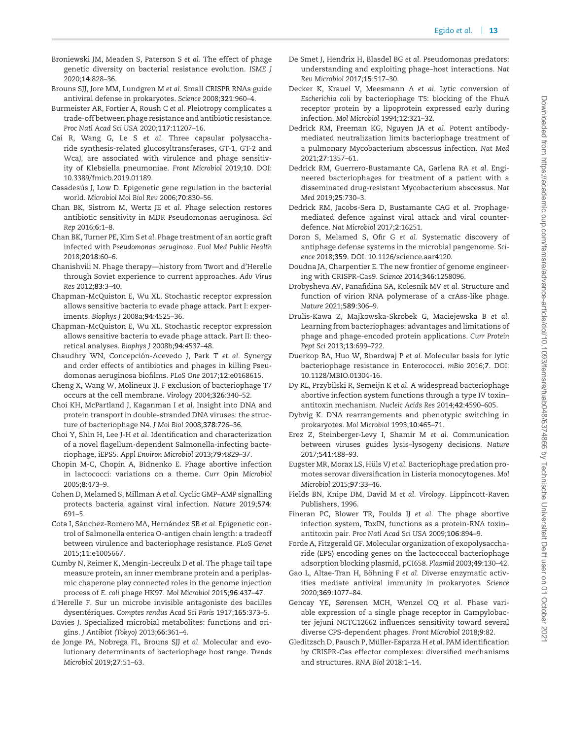- <span id="page-12-24"></span>Broniewski JM, Meaden S, Paterson S *et al.* The effect of phage genetic diversity on bacterial resistance evolution. *ISME J* 2020;**14**:828–36.
- <span id="page-12-25"></span>Brouns SJJ, Jore MM, Lundgren M *et al.* Small CRISPR RNAs guide antiviral defense in prokaryotes. *Science* 2008;**321**:960–4.
- <span id="page-12-14"></span>Burmeister AR, Fortier A, Roush C *et al.* Pleiotropy complicates a trade-off between phage resistance and antibiotic resistance. *Proc Natl Acad Sci USA* 2020;**117**:11207–16.
- <span id="page-12-35"></span>Cai R, Wang G, Le S *et al.* Three capsular polysaccharide synthesis-related glucosyltransferases, GT-1, GT-2 and WcaJ, are associated with virulence and phage sensitivity of Klebsiella pneumoniae. *Front Microbiol* 2019;**10**. DOI: 10.3389/fmicb.2019.01189.
- <span id="page-12-22"></span>Casadesús J, Low D. Epigenetic gene regulation in the bacterial world. *Microbiol Mol Biol Rev* 2006;**70**:830–56.
- <span id="page-12-36"></span>Chan BK, Sistrom M, Wertz JE *et al.* Phage selection restores antibiotic sensitivity in MDR Pseudomonas aeruginosa. *Sci Rep* 2016;**6**:1–8.
- <span id="page-12-38"></span>Chan BK, Turner PE, Kim S *et al.* Phage treatment of an aortic graft infected with *Pseudomonas aeruginosa*. *Evol Med Public Health* 2018;**2018**:60–6.
- <span id="page-12-1"></span>Chanishvili N. Phage therapy—history from Twort and d'Herelle through Soviet experience to current approaches. *Adv Virus Res* 2012;**83**:3–40.
- <span id="page-12-12"></span>Chapman-McQuiston E, Wu XL. Stochastic receptor expression allows sensitive bacteria to evade phage attack. Part I: experiments. *Biophys J* 2008a;**94**:4525–36.
- <span id="page-12-13"></span>Chapman-McQuiston E, Wu XL. Stochastic receptor expression allows sensitive bacteria to evade phage attack. Part II: theoretical analyses. *Biophys J* 2008b;**94**:4537–48.
- <span id="page-12-37"></span>Chaudhry WN, Concepción-Acevedo J, Park T et al. Synergy and order effects of antibiotics and phages in killing Pseudomonas aeruginosa biofilms. *PLoS One* 2017;**12**:e0168615.
- <span id="page-12-30"></span>Cheng X, Wang W, Molineux IJ. F exclusion of bacteriophage T7 occurs at the cell membrane. *Virology* 2004;**326**:340–52.
- <span id="page-12-7"></span>Choi KH, McPartland J, Kaganman I *et al.* Insight into DNA and protein transport in double-stranded DNA viruses: the structure of bacteriophage N4. *J Mol Biol* 2008;**378**:726–36.
- <span id="page-12-21"></span>Choi Y, Shin H, Lee J-H *et al.* Identification and characterization of a novel flagellum-dependent Salmonella-infecting bacteriophage, iEPS5. *Appl Environ Microbiol* 2013;**79**:4829–37.
- <span id="page-12-31"></span>Chopin M-C, Chopin A, Bidnenko E. Phage abortive infection in lactococci: variations on a theme. *Curr Opin Microbiol* 2005;**8**:473–9.
- <span id="page-12-32"></span>Cohen D, Melamed S, Millman A *et al.* Cyclic GMP–AMP signalling protects bacteria against viral infection. *Nature* 2019;**574**: 691–5.
- <span id="page-12-23"></span>Cota I, Sánchez-Romero MA, Hernández SB et al. Epigenetic control of Salmonella enterica O-antigen chain length: a tradeoff between virulence and bacteriophage resistance. *PLoS Genet* 2015;**11**:e1005667.
- <span id="page-12-6"></span>Cumby N, Reimer K, Mengin-Lecreulx D *et al.* The phage tail tape measure protein, an inner membrane protein and a periplasmic chaperone play connected roles in the genome injection process of *E. coli* phage HK97. *Mol Microbiol* 2015;**96**:437–47.
- <span id="page-12-0"></span>d'Herelle F. Sur un microbe invisible antagoniste des bacilles dysentériques. Comptes rendus Acad Sci Paris 1917;165:373-5.
- <span id="page-12-33"></span>Davies J. Specialized microbial metabolites: functions and origins. *J Antibiot (Tokyo)* 2013;**66**:361–4.
- <span id="page-12-5"></span>de Jonge PA, Nobrega FL, Brouns SJJ *et al.* Molecular and evolutionary determinants of bacteriophage host range. *Trends Microbiol* 2019;**27**:51–63.
- <span id="page-12-9"></span>De Smet J, Hendrix H, Blasdel BG *et al.* Pseudomonas predators: understanding and exploiting phage–host interactions. *Nat Rev Microbiol* 2017;**15**:517–30.
- <span id="page-12-17"></span>Decker K, Krauel V, Meesmann A *et al.* Lytic conversion of *Escherichia coli* by bacteriophage T5: blocking of the FhuA receptor protein by a lipoprotein expressed early during infection. *Mol Microbiol* 1994;**12**:321–32.
- <span id="page-12-40"></span>Dedrick RM, Freeman KG, Nguyen JA *et al.* Potent antibodymediated neutralization limits bacteriophage treatment of a pulmonary Mycobacterium abscessus infection. *Nat Med* 2021;**27**:1357–61.
- <span id="page-12-39"></span>Dedrick RM, Guerrero-Bustamante CA, Garlena RA *et al.* Engineered bacteriophages for treatment of a patient with a disseminated drug-resistant Mycobacterium abscessus. *Nat Med* 2019;**25**:730–3.
- <span id="page-12-34"></span>Dedrick RM, Jacobs-Sera D, Bustamante CAG *et al.* Prophagemediated defence against viral attack and viral counterdefence. *Nat Microbiol* 2017;**2**:16251.
- <span id="page-12-2"></span>Doron S, Melamed S, Ofir G *et al.* Systematic discovery of antiphage defense systems in the microbial pangenome. *Science* 2018;**359**. DOI: 10.1126/science.aar4120.
- <span id="page-12-27"></span>Doudna JA, Charpentier E. The new frontier of genome engineering with CRISPR-Cas9. *Science* 2014;**346**:1258096.
- <span id="page-12-10"></span>Drobysheva AV, Panafidina SA, Kolesnik MV *et al.* Structure and function of virion RNA polymerase of a crAss-like phage. *Nature* 2021;**589**:306–9.
- <span id="page-12-8"></span>Drulis-Kawa Z, Majkowska-Skrobek G, Maciejewska B *et al.* Learning from bacteriophages: advantages and limitations of phage and phage-encoded protein applications. *Curr Protein Pept Sci* 2013;**13**:699–722.
- <span id="page-12-16"></span>Duerkop BA, Huo W, Bhardwaj P *et al.* Molecular basis for lytic bacteriophage resistance in Enterococci. *mBio* 2016;**7**. DOI: 10.1128/MBIO.01304-16.
- <span id="page-12-29"></span>Dy RL, Przybilski R, Semeijn K *et al.* A widespread bacteriophage abortive infection system functions through a type IV toxin– antitoxin mechanism. *Nucleic Acids Res* 2014;**42**:4590–605.
- <span id="page-12-20"></span>Dybvig K. DNA rearrangements and phenotypic switching in prokaryotes. *Mol Microbiol* 1993;**10**:465–71.
- <span id="page-12-11"></span>Erez Z, Steinberger-Levy I, Shamir M *et al.* Communication between viruses guides lysis–lysogeny decisions. *Nature* 2017;**541**:488–93.
- <span id="page-12-15"></span>Eugster MR, Morax LS, Hüls VJ et al. Bacteriophage predation promotes serovar diversification in Listeria monocytogenes. *Mol Microbiol* 2015;**97**:33–46.
- <span id="page-12-4"></span>Fields BN, Knipe DM, David M *et al. Virology*. Lippincott-Raven Publishers, 1996.
- <span id="page-12-28"></span>Fineran PC, Blower TR, Foulds IJ *et al.* The phage abortive infection system, ToxIN, functions as a protein-RNA toxin– antitoxin pair. *Proc Natl Acad Sci USA* 2009;**106**:894–9.
- <span id="page-12-18"></span>Forde A, Fitzgerald GF. Molecular organization of exopolysaccharide (EPS) encoding genes on the lactococcal bacteriophage adsorption blocking plasmid, pCI658. *Plasmid* 2003;**49**:130–42.
- <span id="page-12-3"></span>Gao L, Altae-Tran H, Böhning F et al. Diverse enzymatic activities mediate antiviral immunity in prokaryotes. *Science* 2020;**369**:1077–84.
- <span id="page-12-19"></span>Gencay YE, Sørensen MCH, Wenzel CQ *et al.* Phase variable expression of a single phage receptor in Campylobacter jejuni NCTC12662 influences sensitivity toward several diverse CPS-dependent phages. *Front Microbiol* 2018;**9**:82.
- <span id="page-12-26"></span>Gleditzsch D, Pausch P, Müller-Esparza H et al. PAM identification by CRISPR-Cas effector complexes: diversified mechanisms and structures. *RNA Biol* 2018:1–14.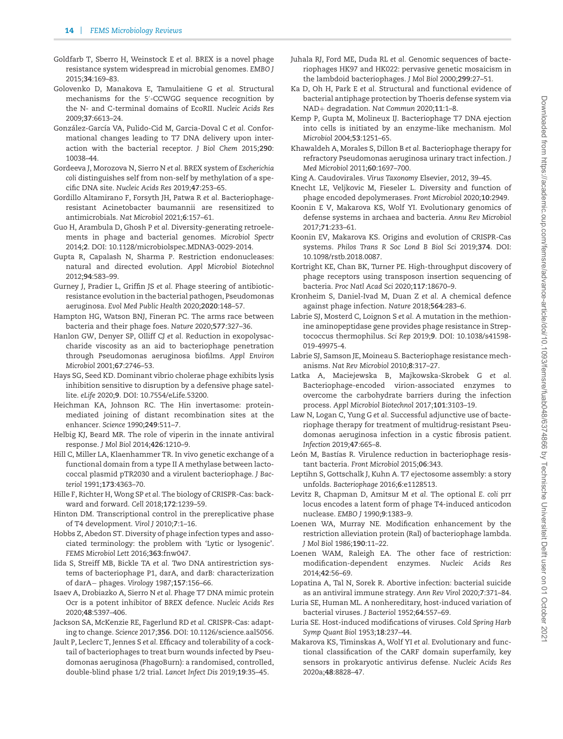- <span id="page-13-18"></span>Goldfarb T, Sberro H, Weinstock E *et al.* BREX is a novel phage resistance system widespread in microbial genomes. *EMBO J* 2015;**34**:169–83.
- <span id="page-13-36"></span>Golovenko D, Manakova E, Tamulaitiene G *et al.* Structural mechanisms for the 5 -CCWGG sequence recognition by the N- and C-terminal domains of EcoRII. *Nucleic Acids Res* 2009;**37**:6613–24.
- <span id="page-13-3"></span>González-García VA, Pulido-Cid M, Garcia-Doval C et al. Conformational changes leading to T7 DNA delivery upon interaction with the bacterial receptor. *J Biol Chem* 2015;**290**: 10038–44.
- <span id="page-13-19"></span>Gordeeva J, Morozova N, Sierro N *et al.* BREX system of *Escherichia coli* distinguishes self from non-self by methylation of a specific DNA site. *Nucleic Acids Res* 2019;**47**:253–65.
- <span id="page-13-10"></span>Gordillo Altamirano F, Forsyth JH, Patwa R *et al.* Bacteriophageresistant Acinetobacter baumannii are resensitized to antimicrobials. *Nat Microbiol* 2021;**6**:157–61.
- <span id="page-13-33"></span>Guo H, Arambula D, Ghosh P *et al.* Diversity-generating retroelements in phage and bacterial genomes. *Microbiol Spectr* 2014;**2**. DOI: 10.1128/microbiolspec.MDNA3-0029-2014.
- <span id="page-13-17"></span>Gupta R, Capalash N, Sharma P. Restriction endonucleases: natural and directed evolution. *Appl Microbiol Biotechnol* 2012;**94**:583–99.
- <span id="page-13-40"></span>Gurney J, Pradier L, Griffin JS *et al.* Phage steering of antibioticresistance evolution in the bacterial pathogen, Pseudomonas aeruginosa. *Evol Med Public Health* 2020;**2020**:148–57.
- <span id="page-13-8"></span>Hampton HG, Watson BNJ, Fineran PC. The arms race between bacteria and their phage foes. *Nature* 2020;**577**:327–36.
- <span id="page-13-11"></span>Hanlon GW, Denyer SP, Olliff CJ *et al.* Reduction in exopolysaccharide viscosity as an aid to bacteriophage penetration through Pseudomonas aeruginosa biofilms. *Appl Environ Microbiol* 2001;**67**:2746–53.
- <span id="page-13-26"></span>Hays SG, Seed KD. Dominant vibrio cholerae phage exhibits lysis inhibition sensitive to disruption by a defensive phage satellite. *eLife* 2020;**9**. DOI: 10.7554/eLife.53200.
- <span id="page-13-12"></span>Heichman KA, Johnson RC. The Hin invertasome: proteinmediated joining of distant recombination sites at the enhancer. *Science* 1990;**249**:511–7.
- <span id="page-13-30"></span>Helbig KJ, Beard MR. The role of viperin in the innate antiviral response. *J Mol Biol* 2014;**426**:1210–9.
- <span id="page-13-37"></span>Hill C, Miller LA, Klaenhammer TR. In vivo genetic exchange of a functional domain from a type II A methylase between lactococcal plasmid pTR2030 and a virulent bacteriophage. *J Bacteriol* 1991;**173**:4363–70.
- <span id="page-13-21"></span>Hille F, Richter H, Wong SP *et al.* The biology of CRISPR-Cas: backward and forward. *Cell* 2018;**172**:1239–59.
- <span id="page-13-6"></span>Hinton DM. Transcriptional control in the prereplicative phase of T4 development. *Virol J* 2010;**7**:1–16.
- <span id="page-13-7"></span>Hobbs Z, Abedon ST. Diversity of phage infection types and associated terminology: the problem with 'Lytic or lysogenic'. *FEMS Microbiol Lett* 2016;**363**:fnw047.
- <span id="page-13-0"></span>Iida S, Streiff MB, Bickle TA *et al.* Two DNA antirestriction systems of bacteriophage P1, darA, and darB: characterization of darA− phages. *Virology* 1987;**157**:156–66.
- <span id="page-13-1"></span>Isaev A, Drobiazko A, Sierro N *et al.* Phage T7 DNA mimic protein Ocr is a potent inhibitor of BREX defence. *Nucleic Acids Res* 2020;**48**:5397–406.
- <span id="page-13-20"></span>Jackson SA, McKenzie RE, Fagerlund RD *et al.* CRISPR-Cas: adapting to change. *Science* 2017;**356**. DOI: 10.1126/science.aal5056.
- <span id="page-13-43"></span>Jault P, Leclerc T, Jennes S *et al.* Efficacy and tolerability of a cocktail of bacteriophages to treat burn wounds infected by Pseudomonas aeruginosa (PhagoBurn): a randomised, controlled, double-blind phase 1/2 trial. *Lancet Infect Dis* 2019;**19**:35–45.
- <span id="page-13-32"></span>Juhala RJ, Ford ME, Duda RL *et al.* Genomic sequences of bacteriophages HK97 and HK022: pervasive genetic mosaicism in the lambdoid bacteriophages. *J Mol Biol* 2000;**299**:27–51.
- <span id="page-13-27"></span>Ka D, Oh H, Park E *et al.* Structural and functional evidence of bacterial antiphage protection by Thoeris defense system via NAD+ degradation. *Nat Commun* 2020;**11**:1–8.
- <span id="page-13-5"></span>Kemp P, Gupta M, Molineux IJ. Bacteriophage T7 DNA ejection into cells is initiated by an enzyme-like mechanism. *Mol Microbiol* 2004;**53**:1251–65.
- <span id="page-13-39"></span>Khawaldeh A, Morales S, Dillon B *et al.* Bacteriophage therapy for refractory Pseudomonas aeruginosa urinary tract infection. *J Med Microbiol* 2011;**60**:1697–700.
- <span id="page-13-2"></span>King A. Caudovirales. *Virus Taxonomy* Elsevier, 2012, 39–45.
- <span id="page-13-35"></span>Knecht LE, Veljkovic M, Fieseler L. Diversity and function of phage encoded depolymerases. *Front Microbiol* 2020;**10**:2949.
- <span id="page-13-13"></span>Koonin E V, Makarova KS, Wolf YI. Evolutionary genomics of defense systems in archaea and bacteria. *Annu Rev Microbiol* 2017;**71**:233–61.
- <span id="page-13-22"></span>Koonin EV, Makarova KS. Origins and evolution of CRISPR-Cas systems. *Philos Trans R Soc Lond B Biol Sci* 2019;**374**. DOI: 10.1098/rstb.2018.0087.
- <span id="page-13-9"></span>Kortright KE, Chan BK, Turner PE. High-throughput discovery of phage receptors using transposon insertion sequencing of bacteria. *Proc Natl Acad Sci* 2020;**117**:18670–9.
- <span id="page-13-29"></span>Kronheim S, Daniel-Ivad M, Duan Z *et al.* A chemical defence against phage infection. *Nature* 2018;**564**:283–6.
- <span id="page-13-25"></span>Labrie SJ, Mosterd C, Loignon S *et al.* A mutation in the methionine aminopeptidase gene provides phage resistance in Streptococcus thermophilus. *Sci Rep* 2019;**9**. DOI: 10.1038/s41598- 019-49975-4.
- <span id="page-13-31"></span>Labrie SJ, Samson JE, Moineau S. Bacteriophage resistance mechanisms. *Nat Rev Microbiol* 2010;**8**:317–27.
- <span id="page-13-34"></span>Latka A, Maciejewska B, Majkowska-Skrobek G *et al.* Bacteriophage-encoded virion-associated enzymes to overcome the carbohydrate barriers during the infection process. *Appl Microbiol Biotechnol* 2017;**101**:3103–19.
- <span id="page-13-42"></span>Law N, Logan C, Yung G *et al.* Successful adjunctive use of bacteriophage therapy for treatment of multidrug-resistant Pseudomonas aeruginosa infection in a cystic fibrosis patient. *Infection* 2019;**47**:665–8.
- <span id="page-13-41"></span>León M, Bastías R. Virulence reduction in bacteriophage resistant bacteria. *Front Microbiol* 2015;**06**:343.
- <span id="page-13-4"></span>Leptihn S, Gottschalk J, Kuhn A. T7 ejectosome assembly: a story unfolds. *Bacteriophage* 2016;**6**:e1128513.
- <span id="page-13-24"></span>Levitz R, Chapman D, Amitsur M *et al.* The optional *E. coli* prr locus encodes a latent form of phage T4-induced anticodon nuclease. *EMBO J* 1990;**9**:1383–9.
- <span id="page-13-38"></span>Loenen WA, Murray NE. Modification enhancement by the restriction alleviation protein (Ral) of bacteriophage lambda. *J Mol Biol* 1986;**190**:11–22.
- <span id="page-13-16"></span>Loenen WAM, Raleigh EA. The other face of restriction: modification-dependent enzymes. *Nucleic Acids Res* 2014;**42**:56–69.
- <span id="page-13-23"></span>Lopatina A, Tal N, Sorek R. Abortive infection: bacterial suicide as an antiviral immune strategy. *Ann Rev Virol* 2020;**7**:371–84.
- <span id="page-13-14"></span>Luria SE, Human ML. A nonhereditary, host-induced variation of bacterial viruses. *J Bacteriol* 1952;**64**:557–69.
- <span id="page-13-15"></span>Luria SE. Host-induced modifications of viruses. *Cold Spring Harb Symp Quant Biol* 1953;**18**:237–44.
- <span id="page-13-28"></span>Makarova KS, Timinskas A, Wolf YI *et al.* Evolutionary and functional classification of the CARF domain superfamily, key sensors in prokaryotic antivirus defense. *Nucleic Acids Res* 2020a;**48**:8828–47.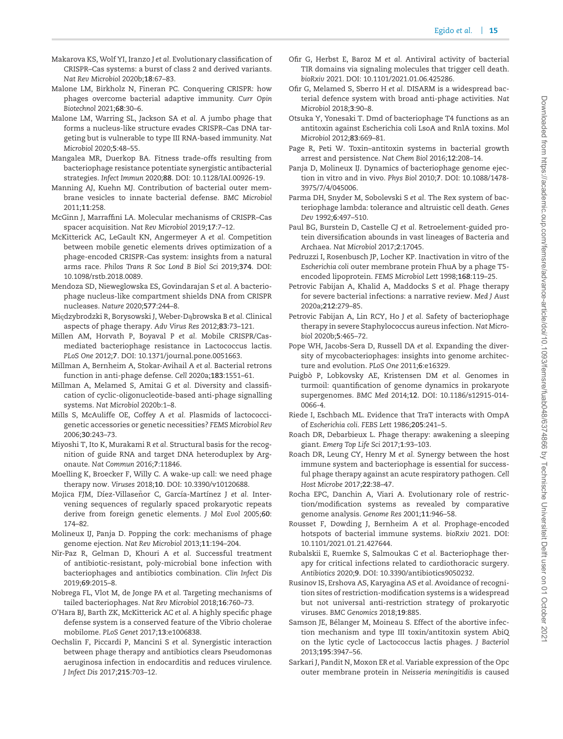- <span id="page-14-19"></span>Makarova KS, Wolf YI, Iranzo J *et al.* Evolutionary classification of CRISPR–Cas systems: a burst of class 2 and derived variants. *Nat Rev Microbiol* 2020b;**18**:67–83.
- <span id="page-14-34"></span>Malone LM, Birkholz N, Fineran PC. Conquering CRISPR: how phages overcome bacterial adaptive immunity. *Curr Opin Biotechnol* 2021;**68**:30–6.
- <span id="page-14-2"></span>Malone LM, Warring SL, Jackson SA *et al.* A jumbo phage that forms a nucleus-like structure evades CRISPR–Cas DNA targeting but is vulnerable to type III RNA-based immunity. *Nat Microbiol* 2020;**5**:48–55.
- <span id="page-14-13"></span>Mangalea MR, Duerkop BA. Fitness trade-offs resulting from bacteriophage resistance potentiate synergistic antibacterial strategies. *Infect Immun* 2020;**88**. DOI: 10.1128/IAI.00926-19.
- <span id="page-14-11"></span>Manning AJ, Kuehn MJ. Contribution of bacterial outer membrane vesicles to innate bacterial defense. *BMC Microbiol* 2011;**11**:258.
- <span id="page-14-18"></span>McGinn J, Marraffini LA. Molecular mechanisms of CRISPR–Cas spacer acquisition. *Nat Rev Microbiol* 2019;**17**:7–12.
- <span id="page-14-24"></span>McKitterick AC, LeGault KN, Angermeyer A *et al.* Competition between mobile genetic elements drives optimization of a phage-encoded CRISPR-Cas system: insights from a natural arms race. *Philos Trans R Soc Lond B Biol Sci* 2019;**374**. DOI: 10.1098/rstb.2018.0089.
- <span id="page-14-3"></span>Mendoza SD, Nieweglowska ES, Govindarajan S *et al.* A bacteriophage nucleus-like compartment shields DNA from CRISPR nucleases. *Nature* 2020;**577**:244–8.
- <span id="page-14-41"></span>Międzybrodzki R, Borysowski J, Weber-Dąbrowska B *et al.* Clinical aspects of phage therapy. *Adv Virus Res* 2012;**83**:73–121.
- <span id="page-14-17"></span>Millen AM, Horvath P, Boyaval P *et al.* Mobile CRISPR/Casmediated bacteriophage resistance in Lactococcus lactis. *PLoS One* 2012;**7**. DOI: 10.1371/journal.pone.0051663.
- <span id="page-14-26"></span>Millman A, Bernheim A, Stokar-Avihail A *et al.* Bacterial retrons function in anti-phage defense. *Cell* 2020a;**183**:1551–61.
- <span id="page-14-22"></span>Millman A, Melamed S, Amitai G *et al.* Diversity and classification of cyclic-oligonucleotide-based anti-phage signalling systems. *Nat Microbiol* 2020b:1–8.
- <span id="page-14-21"></span>Mills S, McAuliffe OE, Coffey A *et al.* Plasmids of lactococcigenetic accessories or genetic necessities? *FEMS Microbiol Rev* 2006;**30**:243–73.
- <span id="page-14-15"></span>Miyoshi T, Ito K, Murakami R *et al.* Structural basis for the recognition of guide RNA and target DNA heteroduplex by Argonaute. *Nat Commun* 2016;**7**:11846.
- <span id="page-14-0"></span>Moelling K, Broecker F, Willy C. A wake-up call: we need phage therapy now. *Viruses* 2018;**10**. DOI: 10.3390/v10120688.
- <span id="page-14-16"></span>Mojica FJM, Díez-Villaseñor C, García-Martínez J et al. Intervening sequences of regularly spaced prokaryotic repeats derive from foreign genetic elements. *J Mol Evol* 2005;**60**: 174–82.
- <span id="page-14-6"></span>Molineux IJ, Panja D. Popping the cork: mechanisms of phage genome ejection. *Nat Rev Microbiol* 2013;**11**:194–204.
- <span id="page-14-38"></span>Nir-Paz R, Gelman D, Khouri A *et al.* Successful treatment of antibiotic-resistant, poly-microbial bone infection with bacteriophages and antibiotics combination. *Clin Infect Dis* 2019;**69**:2015–8.
- <span id="page-14-5"></span>Nobrega FL, Vlot M, de Jonge PA *et al.* Targeting mechanisms of tailed bacteriophages. *Nat Rev Microbiol* 2018;**16**:760–73.
- <span id="page-14-23"></span>O'Hara BJ, Barth ZK, McKitterick AC *et al.* A highly specific phage defense system is a conserved feature of the Vibrio cholerae mobilome. *PLoS Genet* 2017;**13**:e1006838.
- <span id="page-14-37"></span>Oechslin F, Piccardi P, Mancini S *et al.* Synergistic interaction between phage therapy and antibiotics clears Pseudomonas aeruginosa infection in endocarditis and reduces virulence. *J Infect Dis* 2017;**215**:703–12.
- <span id="page-14-25"></span>Ofir G, Herbst E, Baroz M *et al.* Antiviral activity of bacterial TIR domains via signaling molecules that trigger cell death. *bioRxiv* 2021. DOI: 10.1101/2021.01.06.425286.
- <span id="page-14-14"></span>Ofir G, Melamed S, Sberro H *et al.* DISARM is a widespread bacterial defence system with broad anti-phage activities. *Nat Microbiol* 2018;**3**:90–8.
- <span id="page-14-1"></span>Otsuka Y, Yonesaki T. Dmd of bacteriophage T4 functions as an antitoxin against Escherichia coli LsoA and RnlA toxins. *Mol Microbiol* 2012;**83**:669–81.
- <span id="page-14-20"></span>Page R, Peti W. Toxin–antitoxin systems in bacterial growth arrest and persistence. *Nat Chem Biol* 2016;**12**:208–14.
- <span id="page-14-7"></span>Panja D, Molineux IJ. Dynamics of bacteriophage genome ejection in vitro and in vivo. *Phys Biol* 2010;**7**. DOI: 10.1088/1478- 3975/7/4/045006.
- <span id="page-14-28"></span>Parma DH, Snyder M, Sobolevski S *et al.* The Rex system of bacteriophage lambda: tolerance and altruistic cell death. *Genes Dev* 1992;**6**:497–510.
- <span id="page-14-31"></span>Paul BG, Burstein D, Castelle CJ *et al.* Retroelement-guided protein diversification abounds in vast lineages of Bacteria and Archaea. *Nat Microbiol* 2017;**2**:17045.
- <span id="page-14-27"></span>Pedruzzi I, Rosenbusch JP, Locher KP. Inactivation in vitro of the *Escherichia coli* outer membrane protein FhuA by a phage T5 encoded lipoprotein. *FEMS Microbiol Lett* 1998;**168**:119–25.
- <span id="page-14-8"></span>Petrovic Fabijan A, Khalid A, Maddocks S *et al.* Phage therapy for severe bacterial infections: a narrative review. *Med J Aust* 2020a;**212**:279–85.
- <span id="page-14-39"></span>Petrovic Fabijan A, Lin RCY, Ho J *et al.* Safety of bacteriophage therapy in severe Staphylococcus aureus infection. *Nat Microbiol* 2020b;**5**:465–72.
- <span id="page-14-29"></span>Pope WH, Jacobs-Sera D, Russell DA *et al.* Expanding the diversity of mycobacteriophages: insights into genome architecture and evolution. *PLoS One* 2011;**6**:e16329.
- <span id="page-14-9"></span>Puigbò P, Lobkovsky AE, Kristensen DM et al. Genomes in turmoil: quantification of genome dynamics in prokaryote supergenomes. *BMC Med* 2014;**12**. DOI: 10.1186/s12915-014- 0066-4.
- <span id="page-14-10"></span>Riede I, Eschbach ML. Evidence that TraT interacts with OmpA of *Escherichia coli*. *FEBS Lett* 1986;**205**:241–5.
- <span id="page-14-4"></span>Roach DR, Debarbieux L. Phage therapy: awakening a sleeping giant. *Emerg Top Life Sci* 2017;**1**:93–103.
- <span id="page-14-36"></span>Roach DR, Leung CY, Henry M *et al.* Synergy between the host immune system and bacteriophage is essential for successful phage therapy against an acute respiratory pathogen. *Cell Host Microbe* 2017;**22**:38–47.
- <span id="page-14-32"></span>Rocha EPC, Danchin A, Viari A. Evolutionary role of restriction/modification systems as revealed by comparative genome analysis. *Genome Res* 2001;**11**:946–58.
- <span id="page-14-30"></span>Rousset F, Dowding J, Bernheim A *et al.* Prophage-encoded hotspots of bacterial immune systems. *bioRxiv* 2021. DOI: 10.1101/2021.01.21.427644.
- <span id="page-14-40"></span>Rubalskii E, Ruemke S, Salmoukas C *et al.* Bacteriophage therapy for critical infections related to cardiothoracic surgery. *Antibiotics* 2020;**9**. DOI: 10.3390/antibiotics9050232.
- <span id="page-14-33"></span>Rusinov IS, Ershova AS, Karyagina AS *et al.* Avoidance of recognition sites of restriction-modification systems is a widespread but not universal anti-restriction strategy of prokaryotic viruses. *BMC Genomics* 2018;**19**:885.
- <span id="page-14-35"></span>Samson JE, Bélanger M, Moineau S. Effect of the abortive infection mechanism and type III toxin/antitoxin system AbiQ on the lytic cycle of Lactococcus lactis phages. *J Bacteriol* 2013;**195**:3947–56.
- <span id="page-14-12"></span>Sarkari J, Pandit N, Moxon ER *et al.* Variable expression of the Opc outer membrane protein in *Neisseria meningitidis* is caused